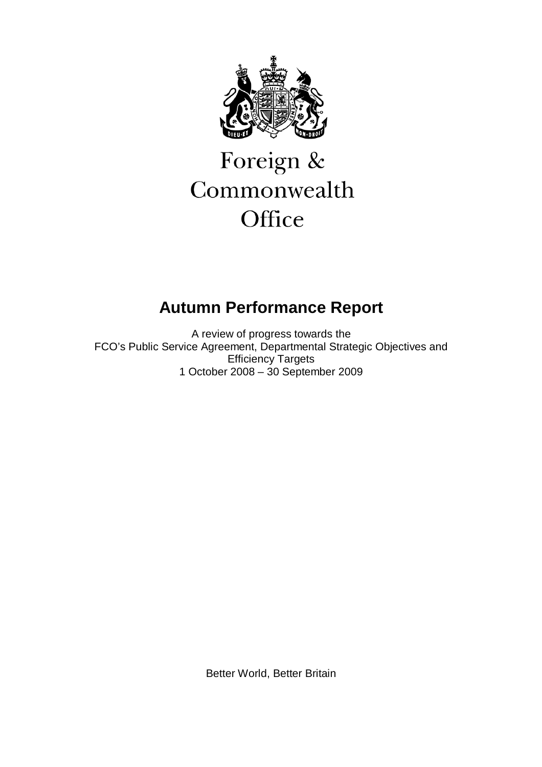

# Foreign & Commonwealth Office

## **Autumn Performance Report**

A review of progress towards the FCO's Public Service Agreement, Departmental Strategic Objectives and Efficiency Targets 1 October 2008 – 30 September 2009

Better World, Better Britain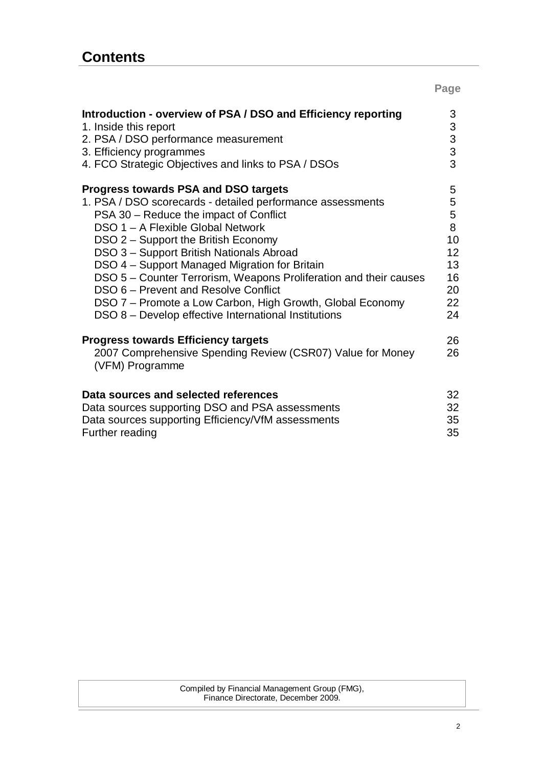|                                                                                                                                                                                                                                                                                                                                                                                                                                                                                                                                                                | Page                                                       |
|----------------------------------------------------------------------------------------------------------------------------------------------------------------------------------------------------------------------------------------------------------------------------------------------------------------------------------------------------------------------------------------------------------------------------------------------------------------------------------------------------------------------------------------------------------------|------------------------------------------------------------|
| Introduction - overview of PSA / DSO and Efficiency reporting<br>1. Inside this report<br>2. PSA / DSO performance measurement<br>3. Efficiency programmes<br>4. FCO Strategic Objectives and links to PSA / DSOs                                                                                                                                                                                                                                                                                                                                              | 3<br>3<br>3<br>3<br>3                                      |
| <b>Progress towards PSA and DSO targets</b><br>1. PSA / DSO scorecards - detailed performance assessments<br>PSA 30 – Reduce the impact of Conflict<br>DSO 1 - A Flexible Global Network<br>DSO 2 - Support the British Economy<br>DSO 3 - Support British Nationals Abroad<br>DSO 4 - Support Managed Migration for Britain<br>DSO 5 - Counter Terrorism, Weapons Proliferation and their causes<br>DSO 6 - Prevent and Resolve Conflict<br>DSO 7 - Promote a Low Carbon, High Growth, Global Economy<br>DSO 8 – Develop effective International Institutions | 5<br>5<br>5<br>8<br>10<br>12<br>13<br>16<br>20<br>22<br>24 |
| <b>Progress towards Efficiency targets</b><br>2007 Comprehensive Spending Review (CSR07) Value for Money<br>(VFM) Programme<br>Data sources and selected references<br>Data sources supporting DSO and PSA assessments<br>Data sources supporting Efficiency/VfM assessments                                                                                                                                                                                                                                                                                   | 26<br>26<br>32<br>32<br>35                                 |
| Further reading                                                                                                                                                                                                                                                                                                                                                                                                                                                                                                                                                | 35                                                         |

Compiled by Financial Management Group (FMG),<br>Finance Directorate, December 2009. Finance Directorate, December 2009.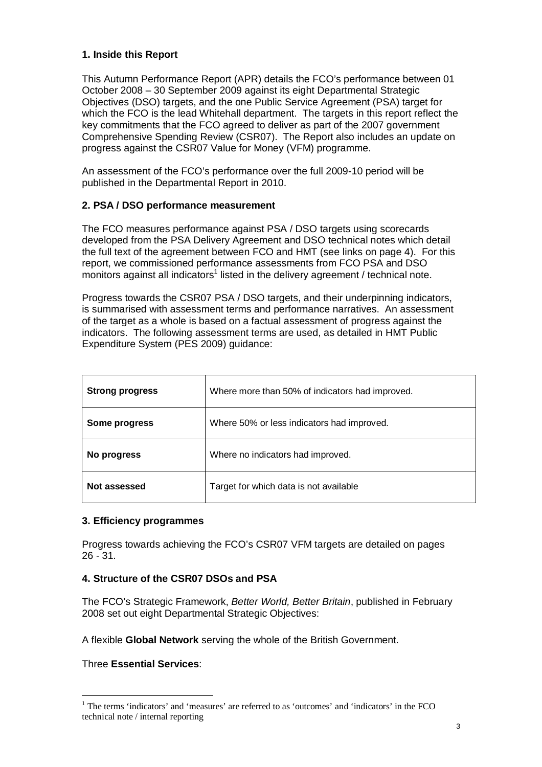## **1. Inside this Report**

This Autumn Performance Report (APR) details the FCO's performance between 01 October 2008 – 30 September 2009 against its eight Departmental Strategic Objectives (DSO) targets, and the one Public Service Agreement (PSA) target for which the FCO is the lead Whitehall department. The targets in this report reflect the key commitments that the FCO agreed to deliver as part of the 2007 government Comprehensive Spending Review (CSR07). The Report also includes an update on progress against the CSR07 Value for Money (VFM) programme.

An assessment of the FCO's performance over the full 2009-10 period will be published in the Departmental Report in 2010.

## **2. PSA / DSO performance measurement**

The FCO measures performance against PSA / DSO targets using scorecards developed from the PSA Delivery Agreement and DSO technical notes which detail the full text of the agreement between FCO and HMT (see links on page 4). For this report, we commissioned performance assessments from FCO PSA and DSO monitors against all indicators<sup>1</sup> listed in the delivery agreement / technical note.

Progress towards the CSR07 PSA / DSO targets, and their underpinning indicators, is summarised with assessment terms and performance narratives. An assessment of the target as a whole is based on a factual assessment of progress against the indicators. The following assessment terms are used, as detailed in HMT Public Expenditure System (PES 2009) guidance:

| <b>Strong progress</b> | Where more than 50% of indicators had improved. |
|------------------------|-------------------------------------------------|
| Some progress          | Where 50% or less indicators had improved.      |
| No progress            | Where no indicators had improved.               |
| Not assessed           | Target for which data is not available          |

## **3. Efficiency programmes**

Progress towards achieving the FCO's CSR07 VFM targets are detailed on pages 26 - 31.

## **4. Structure of the CSR07 DSOs and PSA**

The FCO's Strategic Framework, *Better World, Better Britain*, published in February 2008 set out eight Departmental Strategic Objectives:

A flexible **Global Network** serving the whole of the British Government.

Three **Essential Services**:

 $\overline{a}$ 

<sup>&</sup>lt;sup>1</sup> The terms 'indicators' and 'measures' are referred to as 'outcomes' and 'indicators' in the FCO technical note / internal reporting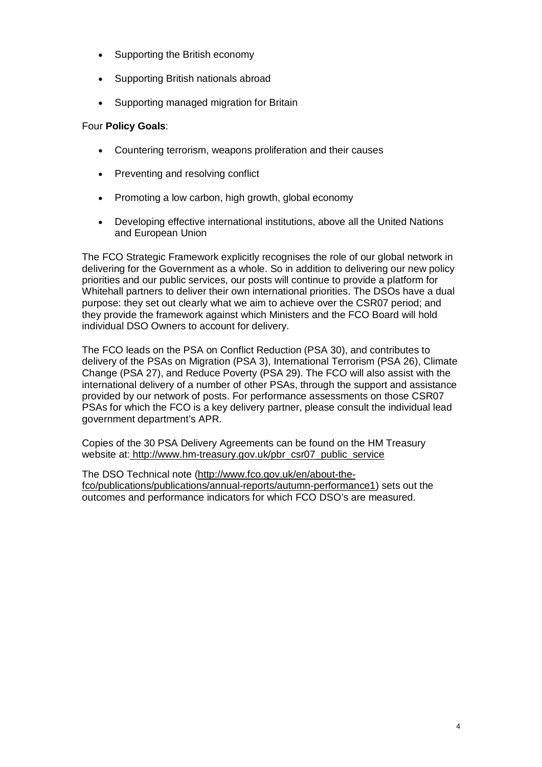- Supporting the British economy
- Supporting British nationals abroad
- Supporting managed migration for Britain

## Four **Policy Goals**:

- Countering terrorism, weapons proliferation and their causes
- Preventing and resolving conflict
- Promoting a low carbon, high growth, global economy
- Developing effective international institutions, above all the United Nations and European Union

The FCO Strategic Framework explicitly recognises the role of our global network in delivering for the Government as a whole. So in addition to delivering our new policy priorities and our public services, our posts will continue to provide a platform for Whitehall partners to deliver their own international priorities. The DSOs have a dual purpose: they set out clearly what we aim to achieve over the CSR07 period; and they provide the framework against which Ministers and the FCO Board will hold individual DSO Owners to account for delivery.

The FCO leads on the PSA on Conflict Reduction (PSA 30), and contributes to delivery of the PSAs on Migration (PSA 3), International Terrorism (PSA 26), Climate Change (PSA 27), and Reduce Poverty (PSA 29). The FCO will also assist with the international delivery of a number of other PSAs, through the support and assistance provided by our network of posts. For performance assessments on those CSR07 PSAs for which the FCO is a key delivery partner, please consult the individual lead government department's APR.

Copies of the 30 PSA Delivery Agreements can be found on the HM Treasury website at: http://www.hm-treasury.gov.uk/pbr\_csr07\_public\_service

The DSO Technical note (http://www.fco.gov.uk/en/about-thefco/publications/publications/annual-reports/autumn-performance1) sets out the outcomes and performance indicators for which FCO DSO's are measured.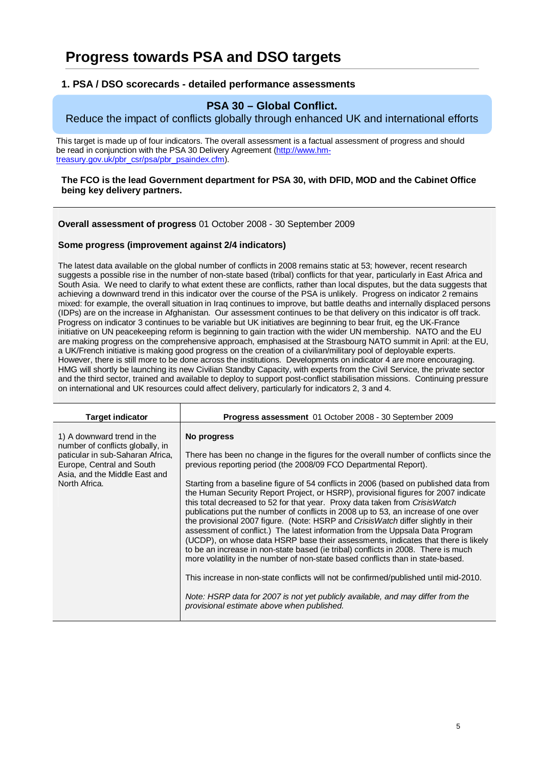## **Progress towards PSA and DSO targets**

### **1. PSA / DSO scorecards - detailed performance assessments**

## **PSA 30 – Global Conflict.**

## Reduce the impact of conflicts globally through enhanced UK and international efforts

This target is made up of four indicators. The overall assessment is a factual assessment of progress and should be read in conjunction with the PSA 30 Delivery Agreement (http://www.hmtreasury.gov.uk/pbr\_csr/psa/pbr\_psaindex.cfm).

#### **The FCO is the lead Government department for PSA 30, with DFID, MOD and the Cabinet Office being key delivery partners.**

**Overall assessment of progress** 01 October 2008 - 30 September 2009

#### **Some progress (improvement against 2/4 indicators)**

The latest data available on the global number of conflicts in 2008 remains static at 53; however, recent research suggests a possible rise in the number of non-state based (tribal) conflicts for that year, particularly in East Africa and South Asia. We need to clarify to what extent these are conflicts, rather than local disputes, but the data suggests that achieving a downward trend in this indicator over the course of the PSA is unlikely. Progress on indicator 2 remains mixed: for example, the overall situation in Iraq continues to improve, but battle deaths and internally displaced persons (IDPs) are on the increase in Afghanistan. Our assessment continues to be that delivery on this indicator is off track. Progress on indicator 3 continues to be variable but UK initiatives are beginning to bear fruit, eg the UK-France initiative on UN peacekeeping reform is beginning to gain traction with the wider UN membership. NATO and the EU are making progress on the comprehensive approach, emphasised at the Strasbourg NATO summit in April: at the EU, a UK/French initiative is making good progress on the creation of a civilian/military pool of deployable experts. However, there is still more to be done across the institutions. Developments on indicator 4 are more encouraging. HMG will shortly be launching its new Civilian Standby Capacity, with experts from the Civil Service, the private sector and the third sector, trained and available to deploy to support post-conflict stabilisation missions. Continuing pressure on international and UK resources could affect delivery, particularly for indicators 2, 3 and 4.

| <b>Target indicator</b>                                                                                                                                                           | <b>Progress assessment</b> 01 October 2008 - 30 September 2009                                                                                                                                                                                                                                                                                                                                                                                                                                                                                                                                                                                                                                                                                                                                                                                                                                                                                                                                                                                                                                                                                                                            |
|-----------------------------------------------------------------------------------------------------------------------------------------------------------------------------------|-------------------------------------------------------------------------------------------------------------------------------------------------------------------------------------------------------------------------------------------------------------------------------------------------------------------------------------------------------------------------------------------------------------------------------------------------------------------------------------------------------------------------------------------------------------------------------------------------------------------------------------------------------------------------------------------------------------------------------------------------------------------------------------------------------------------------------------------------------------------------------------------------------------------------------------------------------------------------------------------------------------------------------------------------------------------------------------------------------------------------------------------------------------------------------------------|
| 1) A downward trend in the<br>number of conflicts globally, in<br>paticular in sub-Saharan Africa,<br>Europe, Central and South<br>Asia, and the Middle East and<br>North Africa. | No progress<br>There has been no change in the figures for the overall number of conflicts since the<br>previous reporting period (the 2008/09 FCO Departmental Report).<br>Starting from a baseline figure of 54 conflicts in 2006 (based on published data from<br>the Human Security Report Project, or HSRP), provisional figures for 2007 indicate<br>this total decreased to 52 for that year. Proxy data taken from CrisisWatch<br>publications put the number of conflicts in 2008 up to 53, an increase of one over<br>the provisional 2007 figure. (Note: HSRP and Crisis Watch differ slightly in their<br>assessment of conflict.) The latest information from the Uppsala Data Program<br>(UCDP), on whose data HSRP base their assessments, indicates that there is likely<br>to be an increase in non-state based (ie tribal) conflicts in 2008. There is much<br>more volatility in the number of non-state based conflicts than in state-based.<br>This increase in non-state conflicts will not be confirmed/published until mid-2010.<br>Note: HSRP data for 2007 is not yet publicly available, and may differ from the<br>provisional estimate above when published. |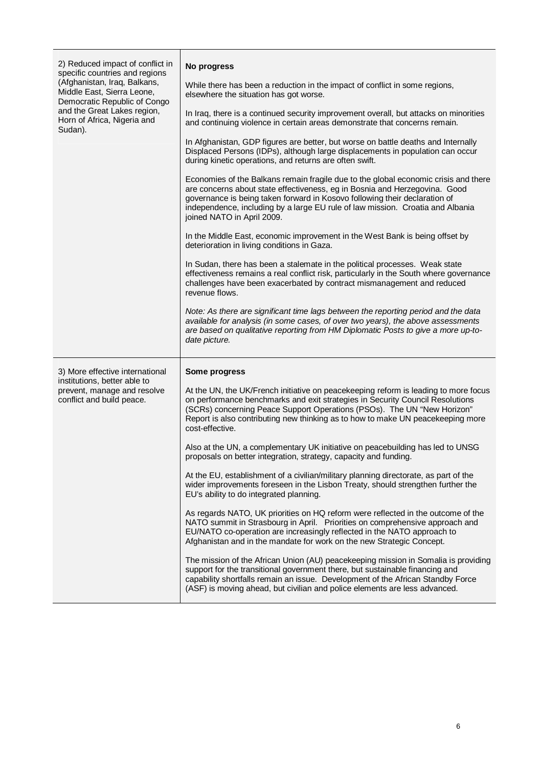| 2) Reduced impact of conflict in<br>specific countries and regions<br>(Afghanistan, Iraq, Balkans,<br>Middle East, Sierra Leone,<br>Democratic Republic of Congo<br>and the Great Lakes region,<br>Horn of Africa, Nigeria and<br>Sudan). | No progress                                                                                                                                                                                                                                                                                                                                                     |
|-------------------------------------------------------------------------------------------------------------------------------------------------------------------------------------------------------------------------------------------|-----------------------------------------------------------------------------------------------------------------------------------------------------------------------------------------------------------------------------------------------------------------------------------------------------------------------------------------------------------------|
|                                                                                                                                                                                                                                           | While there has been a reduction in the impact of conflict in some regions,<br>elsewhere the situation has got worse.                                                                                                                                                                                                                                           |
|                                                                                                                                                                                                                                           | In Iraq, there is a continued security improvement overall, but attacks on minorities<br>and continuing violence in certain areas demonstrate that concerns remain.                                                                                                                                                                                             |
|                                                                                                                                                                                                                                           | In Afghanistan, GDP figures are better, but worse on battle deaths and Internally<br>Displaced Persons (IDPs), although large displacements in population can occur<br>during kinetic operations, and returns are often swift.                                                                                                                                  |
|                                                                                                                                                                                                                                           | Economies of the Balkans remain fragile due to the global economic crisis and there<br>are concerns about state effectiveness, eg in Bosnia and Herzegovina. Good<br>governance is being taken forward in Kosovo following their declaration of<br>independence, including by a large EU rule of law mission. Croatia and Albania<br>joined NATO in April 2009. |
|                                                                                                                                                                                                                                           | In the Middle East, economic improvement in the West Bank is being offset by<br>deterioration in living conditions in Gaza.                                                                                                                                                                                                                                     |
|                                                                                                                                                                                                                                           | In Sudan, there has been a stalemate in the political processes. Weak state<br>effectiveness remains a real conflict risk, particularly in the South where governance<br>challenges have been exacerbated by contract mismanagement and reduced<br>revenue flows.                                                                                               |
|                                                                                                                                                                                                                                           | Note: As there are significant time lags between the reporting period and the data<br>available for analysis (in some cases, of over two years), the above assessments<br>are based on qualitative reporting from HM Diplomatic Posts to give a more up-to-<br>date picture.                                                                                    |
| 3) More effective international                                                                                                                                                                                                           | Some progress                                                                                                                                                                                                                                                                                                                                                   |
| institutions, better able to<br>prevent, manage and resolve<br>conflict and build peace.                                                                                                                                                  | At the UN, the UK/French initiative on peacekeeping reform is leading to more focus<br>on performance benchmarks and exit strategies in Security Council Resolutions<br>(SCRs) concerning Peace Support Operations (PSOs). The UN "New Horizon"<br>Report is also contributing new thinking as to how to make UN peacekeeping more<br>cost-effective.           |
|                                                                                                                                                                                                                                           | Also at the UN, a complementary UK initiative on peacebuilding has led to UNSG<br>proposals on better integration, strategy, capacity and funding.                                                                                                                                                                                                              |
|                                                                                                                                                                                                                                           | At the EU, establishment of a civilian/military planning directorate, as part of the<br>wider improvements foreseen in the Lisbon Treaty, should strengthen further the<br>EU's ability to do integrated planning.                                                                                                                                              |
|                                                                                                                                                                                                                                           | As regards NATO, UK priorities on HQ reform were reflected in the outcome of the<br>NATO summit in Strasbourg in April. Priorities on comprehensive approach and<br>EU/NATO co-operation are increasingly reflected in the NATO approach to<br>Afghanistan and in the mandate for work on the new Strategic Concept.                                            |
|                                                                                                                                                                                                                                           | The mission of the African Union (AU) peacekeeping mission in Somalia is providing<br>support for the transitional government there, but sustainable financing and<br>capability shortfalls remain an issue. Development of the African Standby Force<br>(ASF) is moving ahead, but civilian and police elements are less advanced.                             |

T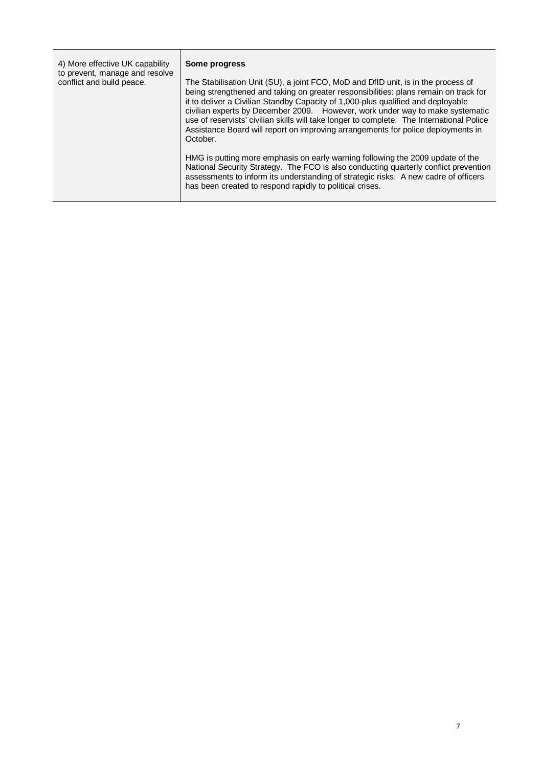| 4) More effective UK capability<br>to prevent, manage and resolve<br>conflict and build peace. | Some progress<br>The Stabilisation Unit (SU), a joint FCO, MoD and DfID unit, is in the process of<br>being strengthened and taking on greater responsibilities: plans remain on track for<br>it to deliver a Civilian Standby Capacity of 1,000-plus qualified and deployable<br>civilian experts by December 2009. However, work under way to make systematic<br>use of reservists' civilian skills will take longer to complete. The International Police<br>Assistance Board will report on improving arrangements for police deployments in<br>October.<br>HMG is putting more emphasis on early warning following the 2009 update of the |
|------------------------------------------------------------------------------------------------|------------------------------------------------------------------------------------------------------------------------------------------------------------------------------------------------------------------------------------------------------------------------------------------------------------------------------------------------------------------------------------------------------------------------------------------------------------------------------------------------------------------------------------------------------------------------------------------------------------------------------------------------|
|                                                                                                | National Security Strategy. The FCO is also conducting quarterly conflict prevention<br>assessments to inform its understanding of strategic risks. A new cadre of officers<br>has been created to respond rapidly to political crises.                                                                                                                                                                                                                                                                                                                                                                                                        |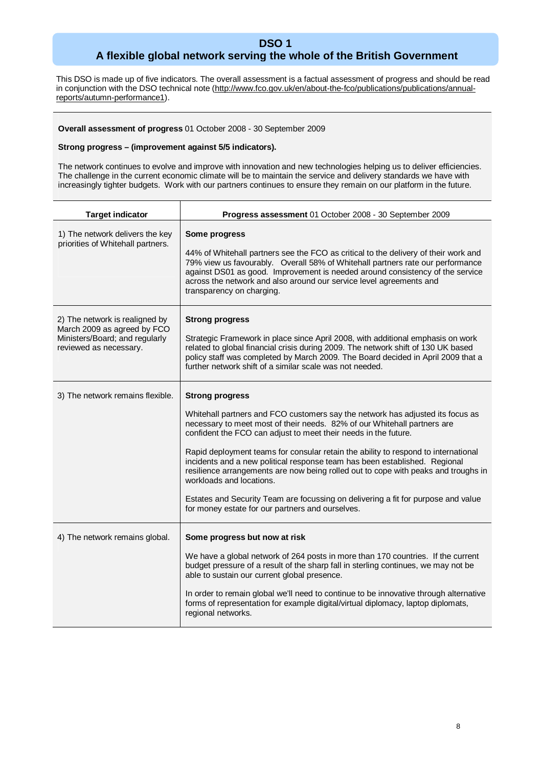## **DSO 1 A flexible global network serving the whole of the British Government**

This DSO is made up of five indicators. The overall assessment is a factual assessment of progress and should be read in conjunction with the DSO technical note (http://www.fco.gov.uk/en/about-the-fco/publications/publications/annualreports/autumn-performance1).

#### **Overall assessment of progress** 01 October 2008 - 30 September 2009

#### **Strong progress – (improvement against 5/5 indicators).**

The network continues to evolve and improve with innovation and new technologies helping us to deliver efficiencies. The challenge in the current economic climate will be to maintain the service and delivery standards we have with increasingly tighter budgets. Work with our partners continues to ensure they remain on our platform in the future.

| <b>Target indicator</b>                                                                                                   | Progress assessment 01 October 2008 - 30 September 2009                                                                                                                                                                                                                                                                                                                     |
|---------------------------------------------------------------------------------------------------------------------------|-----------------------------------------------------------------------------------------------------------------------------------------------------------------------------------------------------------------------------------------------------------------------------------------------------------------------------------------------------------------------------|
| 1) The network delivers the key<br>priorities of Whitehall partners.                                                      | Some progress<br>44% of Whitehall partners see the FCO as critical to the delivery of their work and<br>79% view us favourably. Overall 58% of Whitehall partners rate our performance<br>against DS01 as good. Improvement is needed around consistency of the service<br>across the network and also around our service level agreements and<br>transparency on charging. |
| 2) The network is realigned by<br>March 2009 as agreed by FCO<br>Ministers/Board; and regularly<br>reviewed as necessary. | <b>Strong progress</b><br>Strategic Framework in place since April 2008, with additional emphasis on work<br>related to global financial crisis during 2009. The network shift of 130 UK based<br>policy staff was completed by March 2009. The Board decided in April 2009 that a<br>further network shift of a similar scale was not needed.                              |
| 3) The network remains flexible.                                                                                          | <b>Strong progress</b>                                                                                                                                                                                                                                                                                                                                                      |
|                                                                                                                           | Whitehall partners and FCO customers say the network has adjusted its focus as<br>necessary to meet most of their needs. 82% of our Whitehall partners are<br>confident the FCO can adjust to meet their needs in the future.                                                                                                                                               |
|                                                                                                                           | Rapid deployment teams for consular retain the ability to respond to international<br>incidents and a new political response team has been established. Regional<br>resilience arrangements are now being rolled out to cope with peaks and troughs in<br>workloads and locations.                                                                                          |
|                                                                                                                           | Estates and Security Team are focussing on delivering a fit for purpose and value<br>for money estate for our partners and ourselves.                                                                                                                                                                                                                                       |
| 4) The network remains global.                                                                                            | Some progress but now at risk                                                                                                                                                                                                                                                                                                                                               |
|                                                                                                                           | We have a global network of 264 posts in more than 170 countries. If the current<br>budget pressure of a result of the sharp fall in sterling continues, we may not be<br>able to sustain our current global presence.                                                                                                                                                      |
|                                                                                                                           | In order to remain global we'll need to continue to be innovative through alternative<br>forms of representation for example digital/virtual diplomacy, laptop diplomats,<br>regional networks.                                                                                                                                                                             |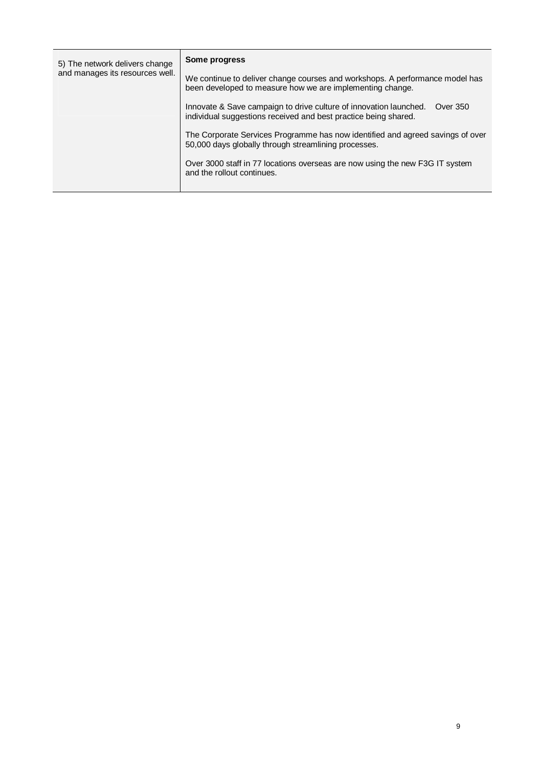| 5) The network delivers change<br>and manages its resources well. | Some progress                                                                                                                                    |
|-------------------------------------------------------------------|--------------------------------------------------------------------------------------------------------------------------------------------------|
|                                                                   | We continue to deliver change courses and workshops. A performance model has<br>been developed to measure how we are implementing change.        |
|                                                                   | Innovate & Save campaign to drive culture of innovation launched.<br>Over 350<br>individual suggestions received and best practice being shared. |
|                                                                   | The Corporate Services Programme has now identified and agreed savings of over<br>50,000 days globally through streamlining processes.           |
|                                                                   | Over 3000 staff in 77 locations overseas are now using the new F3G IT system<br>and the rollout continues.                                       |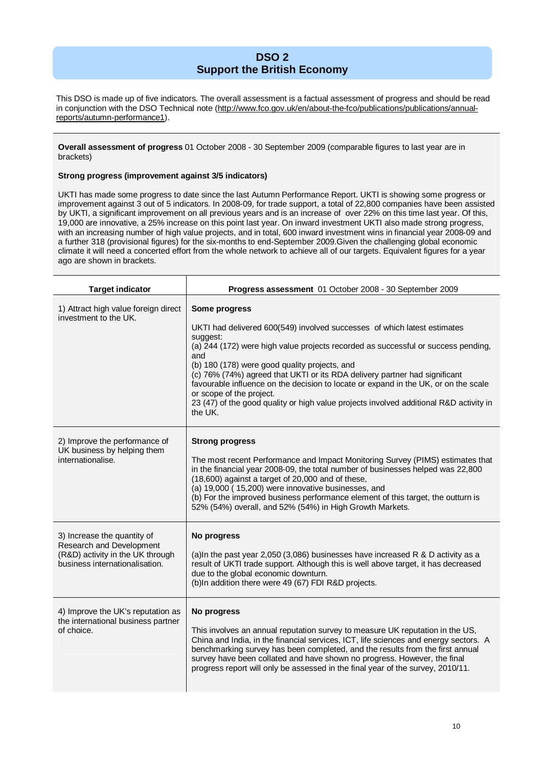## **DSO 2 Support the British Economy**

This DSO is made up of five indicators. The overall assessment is a factual assessment of progress and should be read in conjunction with the DSO Technical note (http://www.fco.gov.uk/en/about-the-fco/publications/publications/annualreports/autumn-performance1).

#### **Overall assessment of progress** 01 October 2008 - 30 September 2009 (comparable figures to last year are in brackets)

#### **Strong progress (improvement against 3/5 indicators)**

┯

UKTI has made some progress to date since the last Autumn Performance Report. UKTI is showing some progress or improvement against 3 out of 5 indicators. In 2008-09, for trade support, a total of 22,800 companies have been assisted by UKTI, a significant improvement on all previous years and is an increase of over 22% on this time last year. Of this, 19,000 are innovative, a 25% increase on this point last year. On inward investment UKTI also made strong progress, with an increasing number of high value projects, and in total, 600 inward investment wins in financial year 2008-09 and a further 318 (provisional figures) for the six-months to end-September 2009.Given the challenging global economic climate it will need a concerted effort from the whole network to achieve all of our targets. Equivalent figures for a year ago are shown in brackets.

| <b>Target indicator</b>                                                                                                       | Progress assessment 01 October 2008 - 30 September 2009                                                                                                                                                                                                                                                                                                                                                                                                                                                                                                  |
|-------------------------------------------------------------------------------------------------------------------------------|----------------------------------------------------------------------------------------------------------------------------------------------------------------------------------------------------------------------------------------------------------------------------------------------------------------------------------------------------------------------------------------------------------------------------------------------------------------------------------------------------------------------------------------------------------|
| 1) Attract high value foreign direct<br>investment to the UK.                                                                 | Some progress<br>UKTI had delivered 600(549) involved successes of which latest estimates<br>suggest:<br>(a) 244 (172) were high value projects recorded as successful or success pending,<br>and<br>(b) 180 (178) were good quality projects, and<br>(c) 76% (74%) agreed that UKTI or its RDA delivery partner had significant<br>favourable influence on the decision to locate or expand in the UK, or on the scale<br>or scope of the project.<br>23 (47) of the good quality or high value projects involved additional R&D activity in<br>the UK. |
| 2) Improve the performance of<br>UK business by helping them<br>internationalise.                                             | <b>Strong progress</b><br>The most recent Performance and Impact Monitoring Survey (PIMS) estimates that<br>in the financial year 2008-09, the total number of businesses helped was 22,800<br>(18,600) against a target of 20,000 and of these,<br>(a) 19,000 (15,200) were innovative businesses, and<br>(b) For the improved business performance element of this target, the outturn is<br>52% (54%) overall, and 52% (54%) in High Growth Markets.                                                                                                  |
| 3) Increase the quantity of<br>Research and Development<br>(R&D) activity in the UK through<br>business internationalisation. | No progress<br>(a)In the past year 2,050 (3,086) businesses have increased R & D activity as a<br>result of UKTI trade support. Although this is well above target, it has decreased<br>due to the global economic downturn.<br>(b)In addition there were 49 (67) FDI R&D projects.                                                                                                                                                                                                                                                                      |
| 4) Improve the UK's reputation as<br>the international business partner<br>of choice.                                         | No progress<br>This involves an annual reputation survey to measure UK reputation in the US,<br>China and India, in the financial services, ICT, life sciences and energy sectors. A<br>benchmarking survey has been completed, and the results from the first annual<br>survey have been collated and have shown no progress. However, the final<br>progress report will only be assessed in the final year of the survey, 2010/11.                                                                                                                     |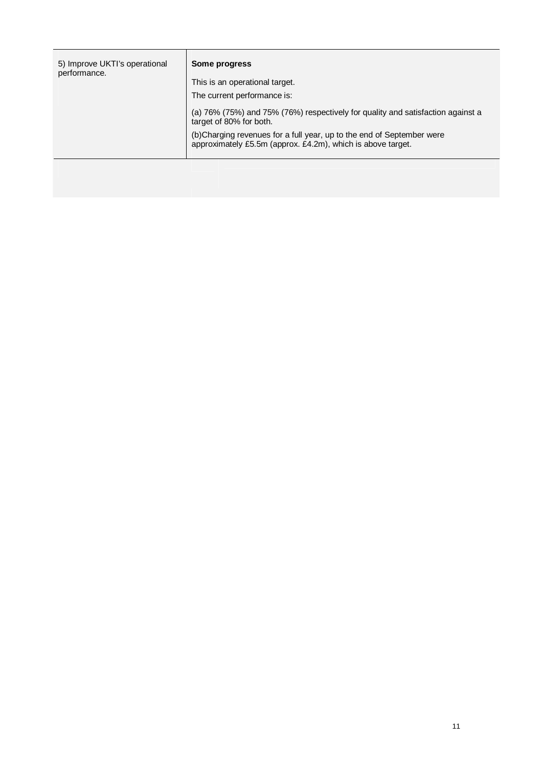| 5) Improve UKTI's operational<br>performance. | Some progress                                                                                                                         |
|-----------------------------------------------|---------------------------------------------------------------------------------------------------------------------------------------|
|                                               | This is an operational target.                                                                                                        |
|                                               | The current performance is:                                                                                                           |
|                                               | (a) 76% (75%) and 75% (76%) respectively for quality and satisfaction against a<br>target of 80% for both.                            |
|                                               | (b) Charging revenues for a full year, up to the end of September were<br>approximately £5.5m (approx. £4.2m), which is above target. |
|                                               |                                                                                                                                       |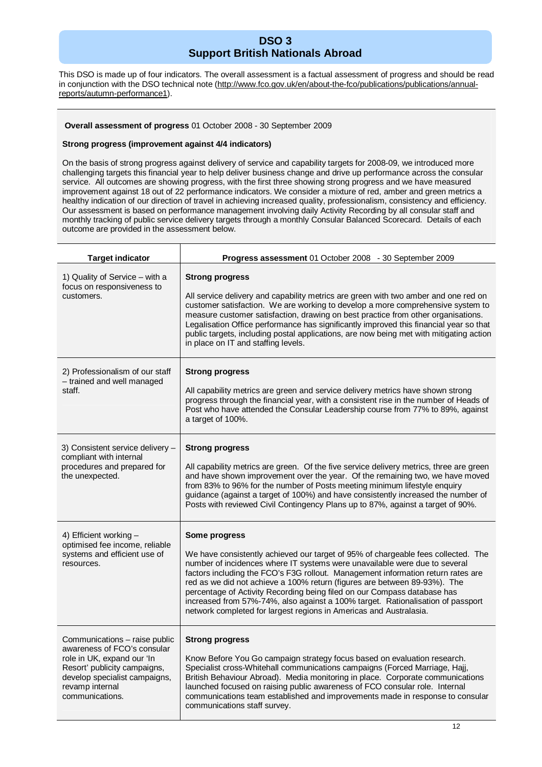## **DSO 3 Support British Nationals Abroad**

This DSO is made up of four indicators. The overall assessment is a factual assessment of progress and should be read in conjunction with the DSO technical note (http://www.fco.gov.uk/en/about-the-fco/publications/publications/annualreports/autumn-performance1).

#### **Overall assessment of progress** 01 October 2008 - 30 September 2009

#### **Strong progress (improvement against 4/4 indicators)**

On the basis of strong progress against delivery of service and capability targets for 2008-09, we introduced more challenging targets this financial year to help deliver business change and drive up performance across the consular service. All outcomes are showing progress, with the first three showing strong progress and we have measured improvement against 18 out of 22 performance indicators. We consider a mixture of red, amber and green metrics a healthy indication of our direction of travel in achieving increased quality, professionalism, consistency and efficiency. Our assessment is based on performance management involving daily Activity Recording by all consular staff and monthly tracking of public service delivery targets through a monthly Consular Balanced Scorecard. Details of each outcome are provided in the assessment below.

| <b>Target indicator</b>                                                                                                                                                                           | Progress assessment 01 October 2008 - 30 September 2009                                                                                                                                                                                                                                                                                                                                                                                                                                                                                                                                |
|---------------------------------------------------------------------------------------------------------------------------------------------------------------------------------------------------|----------------------------------------------------------------------------------------------------------------------------------------------------------------------------------------------------------------------------------------------------------------------------------------------------------------------------------------------------------------------------------------------------------------------------------------------------------------------------------------------------------------------------------------------------------------------------------------|
| 1) Quality of Service - with a<br>focus on responsiveness to<br>customers.                                                                                                                        | <b>Strong progress</b><br>All service delivery and capability metrics are green with two amber and one red on<br>customer satisfaction. We are working to develop a more comprehensive system to<br>measure customer satisfaction, drawing on best practice from other organisations.<br>Legalisation Office performance has significantly improved this financial year so that<br>public targets, including postal applications, are now being met with mitigating action<br>in place on IT and staffing levels.                                                                      |
| 2) Professionalism of our staff<br>- trained and well managed<br>staff.                                                                                                                           | <b>Strong progress</b><br>All capability metrics are green and service delivery metrics have shown strong<br>progress through the financial year, with a consistent rise in the number of Heads of<br>Post who have attended the Consular Leadership course from 77% to 89%, against<br>a target of 100%.                                                                                                                                                                                                                                                                              |
| 3) Consistent service delivery -<br>compliant with internal<br>procedures and prepared for<br>the unexpected.                                                                                     | <b>Strong progress</b><br>All capability metrics are green. Of the five service delivery metrics, three are green<br>and have shown improvement over the year. Of the remaining two, we have moved<br>from 83% to 96% for the number of Posts meeting minimum lifestyle enquiry<br>guidance (against a target of 100%) and have consistently increased the number of<br>Posts with reviewed Civil Contingency Plans up to 87%, against a target of 90%.                                                                                                                                |
| 4) Efficient working -<br>optimised fee income, reliable<br>systems and efficient use of<br>resources.                                                                                            | Some progress<br>We have consistently achieved our target of 95% of chargeable fees collected. The<br>number of incidences where IT systems were unavailable were due to several<br>factors including the FCO's F3G rollout. Management information return rates are<br>red as we did not achieve a 100% return (figures are between 89-93%). The<br>percentage of Activity Recording being filed on our Compass database has<br>increased from 57%-74%, also against a 100% target. Rationalisation of passport<br>network completed for largest regions in Americas and Australasia. |
| Communications - raise public<br>awareness of FCO's consular<br>role in UK, expand our 'In<br>Resort' publicity campaigns,<br>develop specialist campaigns,<br>revamp internal<br>communications. | <b>Strong progress</b><br>Know Before You Go campaign strategy focus based on evaluation research.<br>Specialist cross-Whitehall communications campaigns (Forced Marriage, Hajj,<br>British Behaviour Abroad). Media monitoring in place. Corporate communications<br>launched focused on raising public awareness of FCO consular role. Internal<br>communications team established and improvements made in response to consular<br>communications staff survey.                                                                                                                    |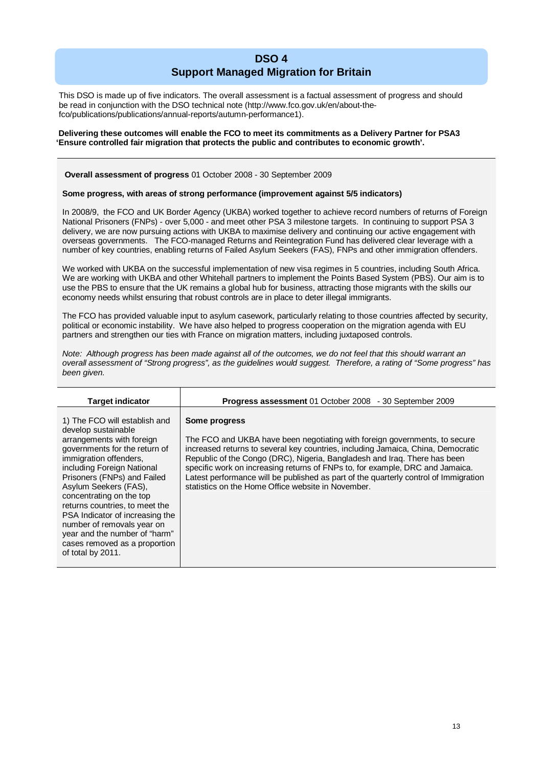## **DSO 4 Support Managed Migration for Britain**

This DSO is made up of five indicators. The overall assessment is a factual assessment of progress and should be read in conjunction with the DSO technical note (http://www.fco.gov.uk/en/about-thefco/publications/publications/annual-reports/autumn-performance1).

#### **Delivering these outcomes will enable the FCO to meet its commitments as a Delivery Partner for PSA3 'Ensure controlled fair migration that protects the public and contributes to economic growth'.**

#### **Overall assessment of progress** 01 October 2008 - 30 September 2009

#### **Some progress, with areas of strong performance (improvement against 5/5 indicators)**

In 2008/9, the FCO and UK Border Agency (UKBA) worked together to achieve record numbers of returns of Foreign National Prisoners (FNPs) - over 5,000 - and meet other PSA 3 milestone targets. In continuing to support PSA 3 delivery, we are now pursuing actions with UKBA to maximise delivery and continuing our active engagement with overseas governments. The FCO-managed Returns and Reintegration Fund has delivered clear leverage with a number of key countries, enabling returns of Failed Asylum Seekers (FAS), FNPs and other immigration offenders.

We worked with UKBA on the successful implementation of new visa regimes in 5 countries, including South Africa. We are working with UKBA and other Whitehall partners to implement the Points Based System (PBS). Our aim is to use the PBS to ensure that the UK remains a global hub for business, attracting those migrants with the skills our economy needs whilst ensuring that robust controls are in place to deter illegal immigrants.

The FCO has provided valuable input to asylum casework, particularly relating to those countries affected by security, political or economic instability. We have also helped to progress cooperation on the migration agenda with EU partners and strengthen our ties with France on migration matters, including juxtaposed controls.

*Note: Although progress has been made against all of the outcomes, we do not feel that this should warrant an overall assessment of "Strong progress", as the guidelines would suggest. Therefore, a rating of "Some progress" has been given.*

| <b>Target indicator</b>                                                                                                                                                                                                                                                                                                                                                                                                                                  | Progress assessment 01 October 2008 - 30 September 2009                                                                                                                                                                                                                                                                                                                                                                                                                                     |
|----------------------------------------------------------------------------------------------------------------------------------------------------------------------------------------------------------------------------------------------------------------------------------------------------------------------------------------------------------------------------------------------------------------------------------------------------------|---------------------------------------------------------------------------------------------------------------------------------------------------------------------------------------------------------------------------------------------------------------------------------------------------------------------------------------------------------------------------------------------------------------------------------------------------------------------------------------------|
| 1) The FCO will establish and<br>develop sustainable<br>arrangements with foreign<br>governments for the return of<br>immigration offenders,<br>including Foreign National<br>Prisoners (FNPs) and Failed<br>Asylum Seekers (FAS),<br>concentrating on the top<br>returns countries, to meet the<br>PSA Indicator of increasing the<br>number of removals year on<br>year and the number of "harm"<br>cases removed as a proportion<br>of total by 2011. | Some progress<br>The FCO and UKBA have been negotiating with foreign governments, to secure<br>increased returns to several key countries, including Jamaica, China, Democratic<br>Republic of the Congo (DRC), Nigeria, Bangladesh and Iraq. There has been<br>specific work on increasing returns of FNPs to, for example, DRC and Jamaica.<br>Latest performance will be published as part of the quarterly control of Immigration<br>statistics on the Home Office website in November. |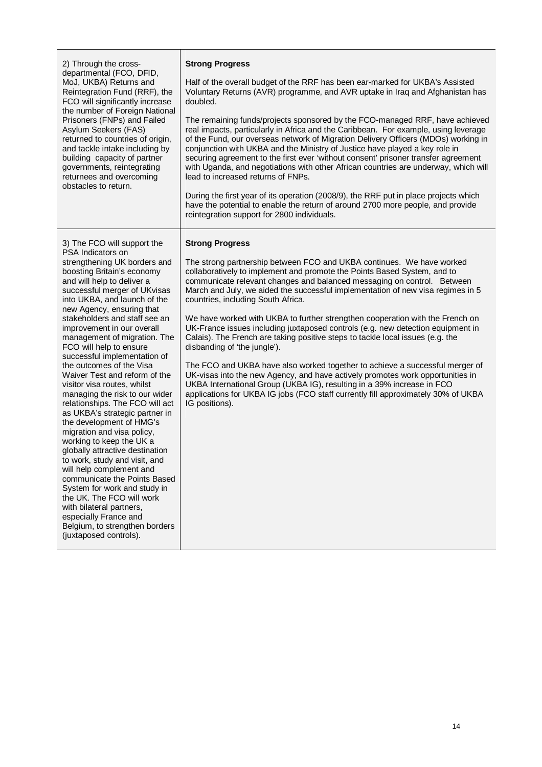| 2) Through the cross-                                                                                                                                                                                                                                                                                                                                                                                                                                                                                                                                                                                                                                                                                                                                                                                                                                                                                                                                                                                      | <b>Strong Progress</b>                                                                                                                                                                                                                                                                                                                                                                                                                                                                                                                                                                                                                                                                                                                                                                                                                                                                                                                                                                                                   |
|------------------------------------------------------------------------------------------------------------------------------------------------------------------------------------------------------------------------------------------------------------------------------------------------------------------------------------------------------------------------------------------------------------------------------------------------------------------------------------------------------------------------------------------------------------------------------------------------------------------------------------------------------------------------------------------------------------------------------------------------------------------------------------------------------------------------------------------------------------------------------------------------------------------------------------------------------------------------------------------------------------|--------------------------------------------------------------------------------------------------------------------------------------------------------------------------------------------------------------------------------------------------------------------------------------------------------------------------------------------------------------------------------------------------------------------------------------------------------------------------------------------------------------------------------------------------------------------------------------------------------------------------------------------------------------------------------------------------------------------------------------------------------------------------------------------------------------------------------------------------------------------------------------------------------------------------------------------------------------------------------------------------------------------------|
| departmental (FCO, DFID,                                                                                                                                                                                                                                                                                                                                                                                                                                                                                                                                                                                                                                                                                                                                                                                                                                                                                                                                                                                   | Half of the overall budget of the RRF has been ear-marked for UKBA's Assisted                                                                                                                                                                                                                                                                                                                                                                                                                                                                                                                                                                                                                                                                                                                                                                                                                                                                                                                                            |
| MoJ, UKBA) Returns and                                                                                                                                                                                                                                                                                                                                                                                                                                                                                                                                                                                                                                                                                                                                                                                                                                                                                                                                                                                     | Voluntary Returns (AVR) programme, and AVR uptake in Iraq and Afghanistan has                                                                                                                                                                                                                                                                                                                                                                                                                                                                                                                                                                                                                                                                                                                                                                                                                                                                                                                                            |
| Reintegration Fund (RRF), the                                                                                                                                                                                                                                                                                                                                                                                                                                                                                                                                                                                                                                                                                                                                                                                                                                                                                                                                                                              | doubled.                                                                                                                                                                                                                                                                                                                                                                                                                                                                                                                                                                                                                                                                                                                                                                                                                                                                                                                                                                                                                 |
| FCO will significantly increase                                                                                                                                                                                                                                                                                                                                                                                                                                                                                                                                                                                                                                                                                                                                                                                                                                                                                                                                                                            | The remaining funds/projects sponsored by the FCO-managed RRF, have achieved                                                                                                                                                                                                                                                                                                                                                                                                                                                                                                                                                                                                                                                                                                                                                                                                                                                                                                                                             |
| the number of Foreign National                                                                                                                                                                                                                                                                                                                                                                                                                                                                                                                                                                                                                                                                                                                                                                                                                                                                                                                                                                             | real impacts, particularly in Africa and the Caribbean. For example, using leverage                                                                                                                                                                                                                                                                                                                                                                                                                                                                                                                                                                                                                                                                                                                                                                                                                                                                                                                                      |
| Prisoners (FNPs) and Failed                                                                                                                                                                                                                                                                                                                                                                                                                                                                                                                                                                                                                                                                                                                                                                                                                                                                                                                                                                                | of the Fund, our overseas network of Migration Delivery Officers (MDOs) working in                                                                                                                                                                                                                                                                                                                                                                                                                                                                                                                                                                                                                                                                                                                                                                                                                                                                                                                                       |
| Asylum Seekers (FAS)                                                                                                                                                                                                                                                                                                                                                                                                                                                                                                                                                                                                                                                                                                                                                                                                                                                                                                                                                                                       | conjunction with UKBA and the Ministry of Justice have played a key role in                                                                                                                                                                                                                                                                                                                                                                                                                                                                                                                                                                                                                                                                                                                                                                                                                                                                                                                                              |
| returned to countries of origin,                                                                                                                                                                                                                                                                                                                                                                                                                                                                                                                                                                                                                                                                                                                                                                                                                                                                                                                                                                           | securing agreement to the first ever 'without consent' prisoner transfer agreement                                                                                                                                                                                                                                                                                                                                                                                                                                                                                                                                                                                                                                                                                                                                                                                                                                                                                                                                       |
| and tackle intake including by                                                                                                                                                                                                                                                                                                                                                                                                                                                                                                                                                                                                                                                                                                                                                                                                                                                                                                                                                                             | with Uganda, and negotiations with other African countries are underway, which will                                                                                                                                                                                                                                                                                                                                                                                                                                                                                                                                                                                                                                                                                                                                                                                                                                                                                                                                      |
| building capacity of partner                                                                                                                                                                                                                                                                                                                                                                                                                                                                                                                                                                                                                                                                                                                                                                                                                                                                                                                                                                               | lead to increased returns of FNPs.                                                                                                                                                                                                                                                                                                                                                                                                                                                                                                                                                                                                                                                                                                                                                                                                                                                                                                                                                                                       |
| governments, reintegrating                                                                                                                                                                                                                                                                                                                                                                                                                                                                                                                                                                                                                                                                                                                                                                                                                                                                                                                                                                                 | During the first year of its operation (2008/9), the RRF put in place projects which                                                                                                                                                                                                                                                                                                                                                                                                                                                                                                                                                                                                                                                                                                                                                                                                                                                                                                                                     |
| returnees and overcoming                                                                                                                                                                                                                                                                                                                                                                                                                                                                                                                                                                                                                                                                                                                                                                                                                                                                                                                                                                                   | have the potential to enable the return of around 2700 more people, and provide                                                                                                                                                                                                                                                                                                                                                                                                                                                                                                                                                                                                                                                                                                                                                                                                                                                                                                                                          |
| obstacles to return.                                                                                                                                                                                                                                                                                                                                                                                                                                                                                                                                                                                                                                                                                                                                                                                                                                                                                                                                                                                       | reintegration support for 2800 individuals.                                                                                                                                                                                                                                                                                                                                                                                                                                                                                                                                                                                                                                                                                                                                                                                                                                                                                                                                                                              |
| 3) The FCO will support the<br>PSA Indicators on<br>strengthening UK borders and<br>boosting Britain's economy<br>and will help to deliver a<br>successful merger of UKvisas<br>into UKBA, and launch of the<br>new Agency, ensuring that<br>stakeholders and staff see an<br>improvement in our overall<br>management of migration. The<br>FCO will help to ensure<br>successful implementation of<br>the outcomes of the Visa<br>Waiver Test and reform of the<br>visitor visa routes, whilst<br>managing the risk to our wider<br>relationships. The FCO will act<br>as UKBA's strategic partner in<br>the development of HMG's<br>migration and visa policy,<br>working to keep the UK a<br>globally attractive destination<br>to work, study and visit, and<br>will help complement and<br>communicate the Points Based<br>System for work and study in<br>the UK. The FCO will work<br>with bilateral partners,<br>especially France and<br>Belgium, to strengthen borders<br>(juxtaposed controls). | <b>Strong Progress</b><br>The strong partnership between FCO and UKBA continues. We have worked<br>collaboratively to implement and promote the Points Based System, and to<br>communicate relevant changes and balanced messaging on control. Between<br>March and July, we aided the successful implementation of new visa regimes in 5<br>countries, including South Africa.<br>We have worked with UKBA to further strengthen cooperation with the French on<br>UK-France issues including juxtaposed controls (e.g. new detection equipment in<br>Calais). The French are taking positive steps to tackle local issues (e.g. the<br>disbanding of 'the jungle').<br>The FCO and UKBA have also worked together to achieve a successful merger of<br>UK-visas into the new Agency, and have actively promotes work opportunities in<br>UKBA International Group (UKBA IG), resulting in a 39% increase in FCO<br>applications for UKBA IG jobs (FCO staff currently fill approximately 30% of UKBA<br>IG positions). |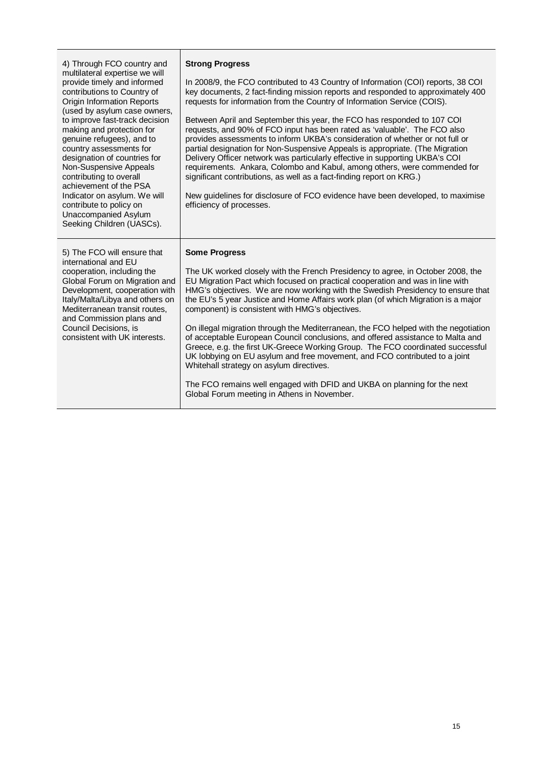| 4) Through FCO country and<br>multilateral expertise we will<br>provide timely and informed<br>contributions to Country of<br><b>Origin Information Reports</b><br>(used by asylum case owners,<br>to improve fast-track decision<br>making and protection for<br>genuine refugees), and to<br>country assessments for<br>designation of countries for<br>Non-Suspensive Appeals<br>contributing to overall<br>achievement of the PSA<br>Indicator on asylum. We will<br>contribute to policy on<br>Unaccompanied Asylum<br>Seeking Children (UASCs). | <b>Strong Progress</b><br>In 2008/9, the FCO contributed to 43 Country of Information (COI) reports, 38 COI<br>key documents, 2 fact-finding mission reports and responded to approximately 400<br>requests for information from the Country of Information Service (COIS).<br>Between April and September this year, the FCO has responded to 107 COI<br>requests, and 90% of FCO input has been rated as 'valuable'. The FCO also<br>provides assessments to inform UKBA's consideration of whether or not full or<br>partial designation for Non-Suspensive Appeals is appropriate. (The Migration<br>Delivery Officer network was particularly effective in supporting UKBA's COI<br>requirements. Ankara, Colombo and Kabul, among others, were commended for<br>significant contributions, as well as a fact-finding report on KRG.)<br>New guidelines for disclosure of FCO evidence have been developed, to maximise<br>efficiency of processes. |
|-------------------------------------------------------------------------------------------------------------------------------------------------------------------------------------------------------------------------------------------------------------------------------------------------------------------------------------------------------------------------------------------------------------------------------------------------------------------------------------------------------------------------------------------------------|----------------------------------------------------------------------------------------------------------------------------------------------------------------------------------------------------------------------------------------------------------------------------------------------------------------------------------------------------------------------------------------------------------------------------------------------------------------------------------------------------------------------------------------------------------------------------------------------------------------------------------------------------------------------------------------------------------------------------------------------------------------------------------------------------------------------------------------------------------------------------------------------------------------------------------------------------------|
| 5) The FCO will ensure that<br>international and EU<br>cooperation, including the<br>Global Forum on Migration and<br>Development, cooperation with<br>Italy/Malta/Libya and others on<br>Mediterranean transit routes,<br>and Commission plans and<br>Council Decisions, is<br>consistent with UK interests.                                                                                                                                                                                                                                         | <b>Some Progress</b><br>The UK worked closely with the French Presidency to agree, in October 2008, the<br>EU Migration Pact which focused on practical cooperation and was in line with<br>HMG's objectives. We are now working with the Swedish Presidency to ensure that<br>the EU's 5 year Justice and Home Affairs work plan (of which Migration is a major<br>component) is consistent with HMG's objectives.<br>On illegal migration through the Mediterranean, the FCO helped with the negotiation<br>of acceptable European Council conclusions, and offered assistance to Malta and<br>Greece, e.g. the first UK-Greece Working Group. The FCO coordinated successful<br>UK lobbying on EU asylum and free movement, and FCO contributed to a joint<br>Whitehall strategy on asylum directives.<br>The FCO remains well engaged with DFID and UKBA on planning for the next<br>Global Forum meeting in Athens in November.                     |

Τ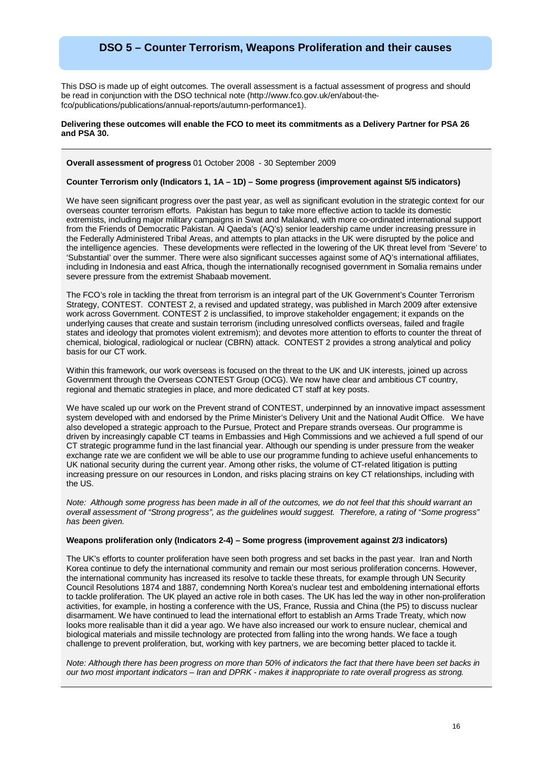## **DSO 5 – Counter Terrorism, Weapons Proliferation and their causes**

This DSO is made up of eight outcomes. The overall assessment is a factual assessment of progress and should be read in conjunction with the DSO technical note (http://www.fco.gov.uk/en/about-thefco/publications/publications/annual-reports/autumn-performance1).

#### **Delivering these outcomes will enable the FCO to meet its commitments as a Delivery Partner for PSA 26 and PSA 30.**

#### **Overall assessment of progress** 01 October 2008 - 30 September 2009

#### **Counter Terrorism only (Indicators 1, 1A – 1D) – Some progress (improvement against 5/5 indicators)**

We have seen significant progress over the past year, as well as significant evolution in the strategic context for our overseas counter terrorism efforts. Pakistan has begun to take more effective action to tackle its domestic extremists, including major military campaigns in Swat and Malakand, with more co-ordinated international support from the Friends of Democratic Pakistan. Al Qaeda's (AQ's) senior leadership came under increasing pressure in the Federally Administered Tribal Areas, and attempts to plan attacks in the UK were disrupted by the police and the intelligence agencies. These developments were reflected in the lowering of the UK threat level from 'Severe' to 'Substantial' over the summer. There were also significant successes against some of AQ's international affiliates, including in Indonesia and east Africa, though the internationally recognised government in Somalia remains under severe pressure from the extremist Shabaab movement.

The FCO's role in tackling the threat from terrorism is an integral part of the UK Government's Counter Terrorism Strategy, CONTEST. CONTEST 2, a revised and updated strategy, was published in March 2009 after extensive work across Government. CONTEST 2 is unclassified, to improve stakeholder engagement; it expands on the underlying causes that create and sustain terrorism (including unresolved conflicts overseas, failed and fragile states and ideology that promotes violent extremism); and devotes more attention to efforts to counter the threat of chemical, biological, radiological or nuclear (CBRN) attack. CONTEST 2 provides a strong analytical and policy basis for our CT work.

Within this framework, our work overseas is focused on the threat to the UK and UK interests, joined up across Government through the Overseas CONTEST Group (OCG). We now have clear and ambitious CT country, regional and thematic strategies in place, and more dedicated CT staff at key posts.

We have scaled up our work on the Prevent strand of CONTEST, underpinned by an innovative impact assessment system developed with and endorsed by the Prime Minister's Delivery Unit and the National Audit Office. We have also developed a strategic approach to the Pursue, Protect and Prepare strands overseas. Our programme is driven by increasingly capable CT teams in Embassies and High Commissions and we achieved a full spend of our CT strategic programme fund in the last financial year. Although our spending is under pressure from the weaker exchange rate we are confident we will be able to use our programme funding to achieve useful enhancements to UK national security during the current year. Among other risks, the volume of CT-related litigation is putting increasing pressure on our resources in London, and risks placing strains on key CT relationships, including with the US.

*Note: Although some progress has been made in all of the outcomes, we do not feel that this should warrant an overall assessment of "Strong progress", as the guidelines would suggest. Therefore, a rating of "Some progress" has been given.*

#### **Weapons proliferation only (Indicators 2-4) – Some progress (improvement against 2/3 indicators)**

The UK's efforts to counter proliferation have seen both progress and set backs in the past year. Iran and North Korea continue to defy the international community and remain our most serious proliferation concerns. However, the international community has increased its resolve to tackle these threats, for example through UN Security Council Resolutions 1874 and 1887, condemning North Korea's nuclear test and emboldening international efforts to tackle proliferation. The UK played an active role in both cases. The UK has led the way in other non-proliferation activities, for example, in hosting a conference with the US, France, Russia and China (the P5) to discuss nuclear disarmament. We have continued to lead the international effort to establish an Arms Trade Treaty, which now looks more realisable than it did a year ago. We have also increased our work to ensure nuclear, chemical and biological materials and missile technology are protected from falling into the wrong hands. We face a tough challenge to prevent proliferation, but, working with key partners, we are becoming better placed to tackle it.

*Note: Although there has been progress on more than 50% of indicators the fact that there have been set backs in our two most important indicators – Iran and DPRK - makes it inappropriate to rate overall progress as strong.*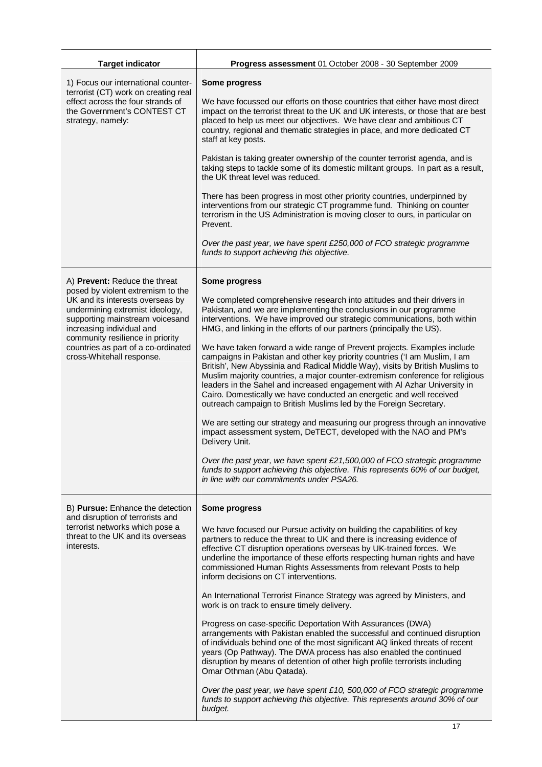| <b>Target indicator</b>                                                                                                                                                                                                                                                          | Progress assessment 01 October 2008 - 30 September 2009                                                                                                                                                                                                                                                                                                                                                                                                                                                                                             |  |  |  |  |
|----------------------------------------------------------------------------------------------------------------------------------------------------------------------------------------------------------------------------------------------------------------------------------|-----------------------------------------------------------------------------------------------------------------------------------------------------------------------------------------------------------------------------------------------------------------------------------------------------------------------------------------------------------------------------------------------------------------------------------------------------------------------------------------------------------------------------------------------------|--|--|--|--|
| 1) Focus our international counter-<br>terrorist (CT) work on creating real                                                                                                                                                                                                      | Some progress                                                                                                                                                                                                                                                                                                                                                                                                                                                                                                                                       |  |  |  |  |
| effect across the four strands of<br>the Government's CONTEST CT<br>strategy, namely:                                                                                                                                                                                            | We have focussed our efforts on those countries that either have most direct<br>impact on the terrorist threat to the UK and UK interests, or those that are best<br>placed to help us meet our objectives. We have clear and ambitious CT<br>country, regional and thematic strategies in place, and more dedicated CT<br>staff at key posts.                                                                                                                                                                                                      |  |  |  |  |
|                                                                                                                                                                                                                                                                                  | Pakistan is taking greater ownership of the counter terrorist agenda, and is<br>taking steps to tackle some of its domestic militant groups. In part as a result,<br>the UK threat level was reduced.                                                                                                                                                                                                                                                                                                                                               |  |  |  |  |
|                                                                                                                                                                                                                                                                                  | There has been progress in most other priority countries, underpinned by<br>interventions from our strategic CT programme fund. Thinking on counter<br>terrorism in the US Administration is moving closer to ours, in particular on<br>Prevent.                                                                                                                                                                                                                                                                                                    |  |  |  |  |
|                                                                                                                                                                                                                                                                                  | Over the past year, we have spent £250,000 of FCO strategic programme<br>funds to support achieving this objective.                                                                                                                                                                                                                                                                                                                                                                                                                                 |  |  |  |  |
| A) Prevent: Reduce the threat                                                                                                                                                                                                                                                    | Some progress                                                                                                                                                                                                                                                                                                                                                                                                                                                                                                                                       |  |  |  |  |
| posed by violent extremism to the<br>UK and its interests overseas by<br>undermining extremist ideology,<br>supporting mainstream voicesand<br>increasing individual and<br>community resilience in priority<br>countries as part of a co-ordinated<br>cross-Whitehall response. | We completed comprehensive research into attitudes and their drivers in<br>Pakistan, and we are implementing the conclusions in our programme<br>interventions. We have improved our strategic communications, both within<br>HMG, and linking in the efforts of our partners (principally the US).                                                                                                                                                                                                                                                 |  |  |  |  |
|                                                                                                                                                                                                                                                                                  | We have taken forward a wide range of Prevent projects. Examples include<br>campaigns in Pakistan and other key priority countries ('I am Muslim, I am<br>British', New Abyssinia and Radical Middle Way), visits by British Muslims to<br>Muslim majority countries, a major counter-extremism conference for religious<br>leaders in the Sahel and increased engagement with Al Azhar University in<br>Cairo. Domestically we have conducted an energetic and well received<br>outreach campaign to British Muslims led by the Foreign Secretary. |  |  |  |  |
|                                                                                                                                                                                                                                                                                  | We are setting our strategy and measuring our progress through an innovative<br>impact assessment system, DeTECT, developed with the NAO and PM's<br>Delivery Unit.                                                                                                                                                                                                                                                                                                                                                                                 |  |  |  |  |
|                                                                                                                                                                                                                                                                                  | Over the past year, we have spent £21,500,000 of FCO strategic programme<br>funds to support achieving this objective. This represents 60% of our budget,<br>in line with our commitments under PSA26.                                                                                                                                                                                                                                                                                                                                              |  |  |  |  |
| B) Pursue: Enhance the detection                                                                                                                                                                                                                                                 | Some progress                                                                                                                                                                                                                                                                                                                                                                                                                                                                                                                                       |  |  |  |  |
| and disruption of terrorists and<br>terrorist networks which pose a<br>threat to the UK and its overseas<br>interests.                                                                                                                                                           | We have focused our Pursue activity on building the capabilities of key<br>partners to reduce the threat to UK and there is increasing evidence of<br>effective CT disruption operations overseas by UK-trained forces. We<br>underline the importance of these efforts respecting human rights and have<br>commissioned Human Rights Assessments from relevant Posts to help<br>inform decisions on CT interventions.                                                                                                                              |  |  |  |  |
|                                                                                                                                                                                                                                                                                  | An International Terrorist Finance Strategy was agreed by Ministers, and<br>work is on track to ensure timely delivery.                                                                                                                                                                                                                                                                                                                                                                                                                             |  |  |  |  |
|                                                                                                                                                                                                                                                                                  | Progress on case-specific Deportation With Assurances (DWA)<br>arrangements with Pakistan enabled the successful and continued disruption<br>of individuals behind one of the most significant AQ linked threats of recent<br>years (Op Pathway). The DWA process has also enabled the continued<br>disruption by means of detention of other high profile terrorists including<br>Omar Othman (Abu Qatada).                                                                                                                                        |  |  |  |  |
|                                                                                                                                                                                                                                                                                  | Over the past year, we have spent £10, 500,000 of FCO strategic programme<br>funds to support achieving this objective. This represents around 30% of our<br>budget.                                                                                                                                                                                                                                                                                                                                                                                |  |  |  |  |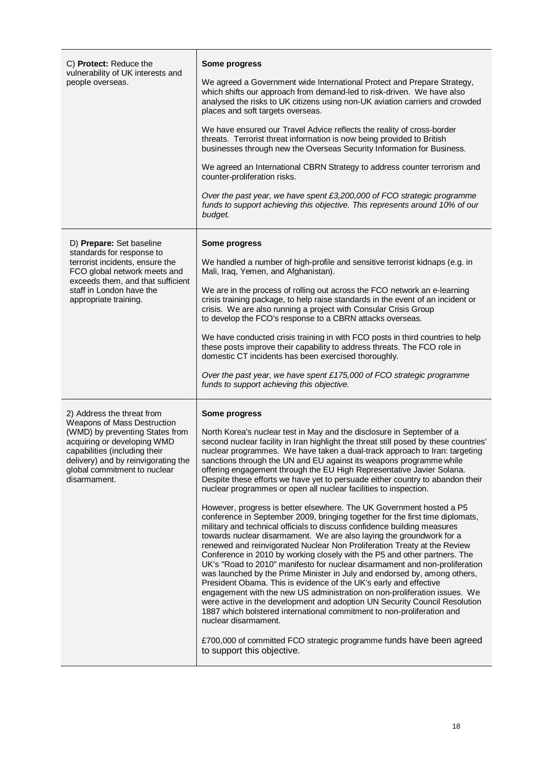| C) Protect: Reduce the<br>vulnerability of UK interests and<br>people overseas.                                                                                                                                                                     | Some progress<br>We agreed a Government wide International Protect and Prepare Strategy,<br>which shifts our approach from demand-led to risk-driven. We have also<br>analysed the risks to UK citizens using non-UK aviation carriers and crowded<br>places and soft targets overseas.<br>We have ensured our Travel Advice reflects the reality of cross-border<br>threats. Terrorist threat information is now being provided to British<br>businesses through new the Overseas Security Information for Business.<br>We agreed an International CBRN Strategy to address counter terrorism and<br>counter-proliferation risks.<br>Over the past year, we have spent £3,200,000 of FCO strategic programme<br>funds to support achieving this objective. This represents around 10% of our<br>budget.                                                                                                                                                                                                                                                                                                                                                                                                                                                                                                                                                                                                                                                                                                                                                                                                                                     |  |  |
|-----------------------------------------------------------------------------------------------------------------------------------------------------------------------------------------------------------------------------------------------------|----------------------------------------------------------------------------------------------------------------------------------------------------------------------------------------------------------------------------------------------------------------------------------------------------------------------------------------------------------------------------------------------------------------------------------------------------------------------------------------------------------------------------------------------------------------------------------------------------------------------------------------------------------------------------------------------------------------------------------------------------------------------------------------------------------------------------------------------------------------------------------------------------------------------------------------------------------------------------------------------------------------------------------------------------------------------------------------------------------------------------------------------------------------------------------------------------------------------------------------------------------------------------------------------------------------------------------------------------------------------------------------------------------------------------------------------------------------------------------------------------------------------------------------------------------------------------------------------------------------------------------------------|--|--|
| D) Prepare: Set baseline<br>standards for response to<br>terrorist incidents, ensure the<br>FCO global network meets and<br>exceeds them, and that sufficient<br>staff in London have the<br>appropriate training.                                  | Some progress<br>We handled a number of high-profile and sensitive terrorist kidnaps (e.g. in<br>Mali, Iraq, Yemen, and Afghanistan).<br>We are in the process of rolling out across the FCO network an e-learning<br>crisis training package, to help raise standards in the event of an incident or<br>crisis. We are also running a project with Consular Crisis Group<br>to develop the FCO's response to a CBRN attacks overseas.<br>We have conducted crisis training in with FCO posts in third countries to help<br>these posts improve their capability to address threats. The FCO role in<br>domestic CT incidents has been exercised thoroughly.<br>Over the past year, we have spent £175,000 of FCO strategic programme<br>funds to support achieving this objective.                                                                                                                                                                                                                                                                                                                                                                                                                                                                                                                                                                                                                                                                                                                                                                                                                                                          |  |  |
| 2) Address the threat from<br>Weapons of Mass Destruction<br>(WMD) by preventing States from<br>acquiring or developing WMD<br>capabilities (including their<br>delivery) and by reinvigorating the<br>global commitment to nuclear<br>disarmament. | Some progress<br>North Korea's nuclear test in May and the disclosure in September of a<br>second nuclear facility in Iran highlight the threat still posed by these countries'<br>nuclear programmes. We have taken a dual-track approach to Iran: targeting<br>sanctions through the UN and EU against its weapons programme while<br>offering engagement through the EU High Representative Javier Solana.<br>Despite these efforts we have yet to persuade either country to abandon their<br>nuclear programmes or open all nuclear facilities to inspection.<br>However, progress is better elsewhere. The UK Government hosted a P5<br>conference in September 2009, bringing together for the first time diplomats,<br>military and technical officials to discuss confidence building measures<br>towards nuclear disarmament. We are also laying the groundwork for a<br>renewed and reinvigorated Nuclear Non Proliferation Treaty at the Review<br>Conference in 2010 by working closely with the P5 and other partners. The<br>UK's "Road to 2010" manifesto for nuclear disarmament and non-proliferation<br>was launched by the Prime Minister in July and endorsed by, among others,<br>President Obama. This is evidence of the UK's early and effective<br>engagement with the new US administration on non-proliferation issues. We<br>were active in the development and adoption UN Security Council Resolution<br>1887 which bolstered international commitment to non-proliferation and<br>nuclear disarmament.<br>£700,000 of committed FCO strategic programme funds have been agreed<br>to support this objective. |  |  |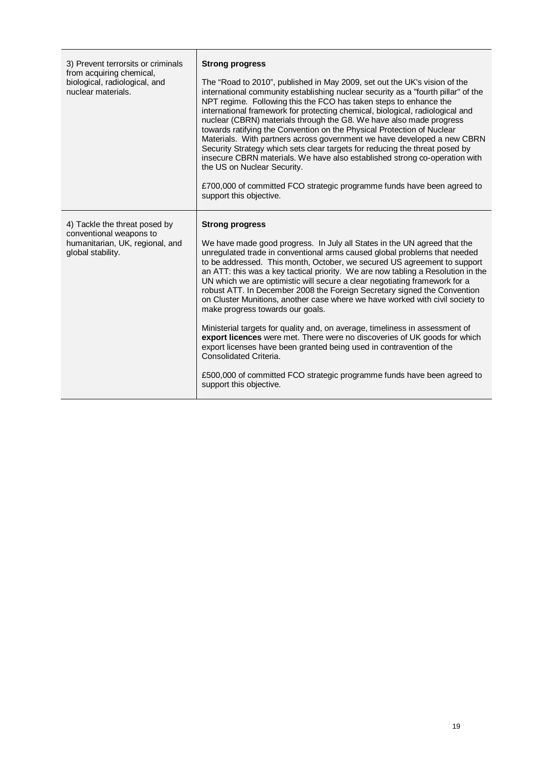| 3) Prevent terrorsits or criminals<br>from acquiring chemical,<br>biological, radiological, and<br>nuclear materials. | <b>Strong progress</b><br>The "Road to 2010", published in May 2009, set out the UK's vision of the<br>international community establishing nuclear security as a "fourth pillar" of the<br>NPT regime. Following this the FCO has taken steps to enhance the<br>international framework for protecting chemical, biological, radiological and<br>nuclear (CBRN) materials through the G8. We have also made progress<br>towards ratifying the Convention on the Physical Protection of Nuclear<br>Materials. With partners across government we have developed a new CBRN<br>Security Strategy which sets clear targets for reducing the threat posed by<br>insecure CBRN materials. We have also established strong co-operation with<br>the US on Nuclear Security.<br>£700,000 of committed FCO strategic programme funds have been agreed to<br>support this objective.                                                                                                                        |  |
|-----------------------------------------------------------------------------------------------------------------------|-----------------------------------------------------------------------------------------------------------------------------------------------------------------------------------------------------------------------------------------------------------------------------------------------------------------------------------------------------------------------------------------------------------------------------------------------------------------------------------------------------------------------------------------------------------------------------------------------------------------------------------------------------------------------------------------------------------------------------------------------------------------------------------------------------------------------------------------------------------------------------------------------------------------------------------------------------------------------------------------------------|--|
| 4) Tackle the threat posed by<br>conventional weapons to<br>humanitarian, UK, regional, and<br>global stability.      | <b>Strong progress</b><br>We have made good progress. In July all States in the UN agreed that the<br>unregulated trade in conventional arms caused global problems that needed<br>to be addressed. This month, October, we secured US agreement to support<br>an ATT: this was a key tactical priority. We are now tabling a Resolution in the<br>UN which we are optimistic will secure a clear negotiating framework for a<br>robust ATT. In December 2008 the Foreign Secretary signed the Convention<br>on Cluster Munitions, another case where we have worked with civil society to<br>make progress towards our goals.<br>Ministerial targets for quality and, on average, timeliness in assessment of<br>export licences were met. There were no discoveries of UK goods for which<br>export licenses have been granted being used in contravention of the<br>Consolidated Criteria.<br>£500,000 of committed FCO strategic programme funds have been agreed to<br>support this objective. |  |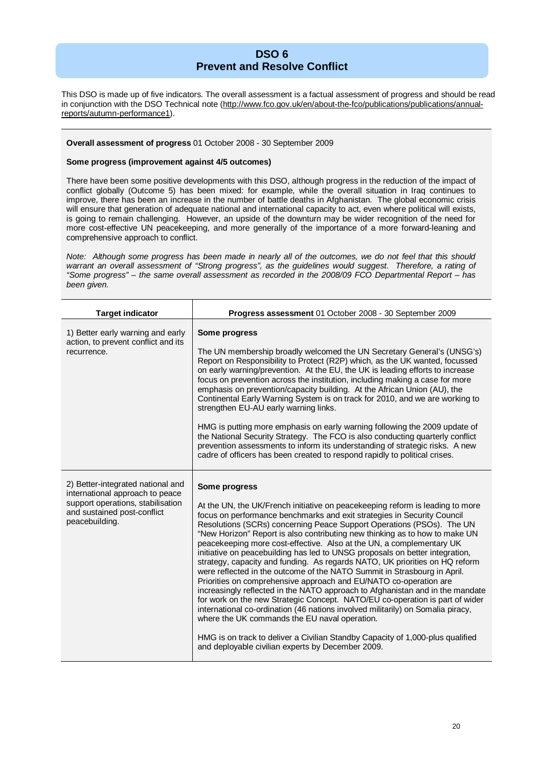### **DSO 6 Prevent and Resolve Conflict**

This DSO is made up of five indicators. The overall assessment is a factual assessment of progress and should be read in conjunction with the DSO Technical note (http://www.fco.gov.uk/en/about-the-fco/publications/publications/annualreports/autumn-performance1).

#### **Overall assessment of progress** 01 October 2008 - 30 September 2009

#### **Some progress (improvement against 4/5 outcomes)**

There have been some positive developments with this DSO, although progress in the reduction of the impact of conflict globally (Outcome 5) has been mixed: for example, while the overall situation in Iraq continues to improve, there has been an increase in the number of battle deaths in Afghanistan. The global economic crisis will ensure that generation of adequate national and international capacity to act, even where political will exists, is going to remain challenging. However, an upside of the downturn may be wider recognition of the need for more cost-effective UN peacekeeping, and more generally of the importance of a more forward-leaning and comprehensive approach to conflict.

*Note: Although some progress has been made in nearly all of the outcomes, we do not feel that this should warrant an overall assessment of "Strong progress", as the guidelines would suggest. Therefore, a rating of "Some progress" – the same overall assessment as recorded in the 2008/09 FCO Departmental Report – has been given.*

| <b>Target indicator</b>                                                                                                                                    | Progress assessment 01 October 2008 - 30 September 2009                                                                                                                                                                                                                                                                                                                                                                                                                                                                                                                                                                                                                                                                                                                                                                                                                                                                                                                                                                                                                                                                                                               |  |  |  |  |
|------------------------------------------------------------------------------------------------------------------------------------------------------------|-----------------------------------------------------------------------------------------------------------------------------------------------------------------------------------------------------------------------------------------------------------------------------------------------------------------------------------------------------------------------------------------------------------------------------------------------------------------------------------------------------------------------------------------------------------------------------------------------------------------------------------------------------------------------------------------------------------------------------------------------------------------------------------------------------------------------------------------------------------------------------------------------------------------------------------------------------------------------------------------------------------------------------------------------------------------------------------------------------------------------------------------------------------------------|--|--|--|--|
| 1) Better early warning and early<br>action, to prevent conflict and its<br>recurrence.                                                                    | Some progress<br>The UN membership broadly welcomed the UN Secretary General's (UNSG's)<br>Report on Responsibility to Protect (R2P) which, as the UK wanted, focussed<br>on early warning/prevention. At the EU, the UK is leading efforts to increase<br>focus on prevention across the institution, including making a case for more<br>emphasis on prevention/capacity building. At the African Union (AU), the<br>Continental Early Warning System is on track for 2010, and we are working to<br>strengthen EU-AU early warning links.<br>HMG is putting more emphasis on early warning following the 2009 update of<br>the National Security Strategy. The FCO is also conducting quarterly conflict<br>prevention assessments to inform its understanding of strategic risks. A new<br>cadre of officers has been created to respond rapidly to political crises.                                                                                                                                                                                                                                                                                             |  |  |  |  |
| 2) Better-integrated national and<br>international approach to peace<br>support operations, stabilisation<br>and sustained post-conflict<br>peacebuilding. | Some progress<br>At the UN, the UK/French initiative on peacekeeping reform is leading to more<br>focus on performance benchmarks and exit strategies in Security Council<br>Resolutions (SCRs) concerning Peace Support Operations (PSOs). The UN<br>"New Horizon" Report is also contributing new thinking as to how to make UN<br>peacekeeping more cost-effective. Also at the UN, a complementary UK<br>initiative on peacebuilding has led to UNSG proposals on better integration,<br>strategy, capacity and funding. As regards NATO, UK priorities on HQ reform<br>were reflected in the outcome of the NATO Summit in Strasbourg in April.<br>Priorities on comprehensive approach and EU/NATO co-operation are<br>increasingly reflected in the NATO approach to Afghanistan and in the mandate<br>for work on the new Strategic Concept. NATO/EU co-operation is part of wider<br>international co-ordination (46 nations involved militarily) on Somalia piracy,<br>where the UK commands the EU naval operation.<br>HMG is on track to deliver a Civilian Standby Capacity of 1,000-plus qualified<br>and deployable civilian experts by December 2009. |  |  |  |  |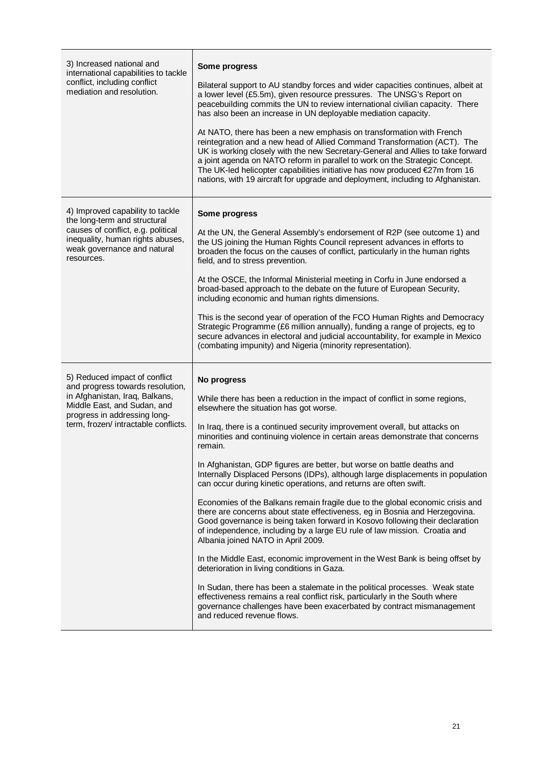| 3) Increased national and<br>international capabilities to tackle<br>conflict, including conflict<br>mediation and resolution.                                                                             | Some progress<br>Bilateral support to AU standby forces and wider capacities continues, albeit at<br>a lower level (£5.5m), given resource pressures. The UNSG's Report on<br>peacebuilding commits the UN to review international civilian capacity. There<br>has also been an increase in UN deployable mediation capacity.<br>At NATO, there has been a new emphasis on transformation with French<br>reintegration and a new head of Allied Command Transformation (ACT). The<br>UK is working closely with the new Secretary-General and Allies to take forward<br>a joint agenda on NATO reform in parallel to work on the Strategic Concept.<br>The UK-led helicopter capabilities initiative has now produced €27m from 16<br>nations, with 19 aircraft for upgrade and deployment, including to Afghanistan.                                                                                                                                                                                                                                                                                                                                                                                                                                                                                                   |  |  |  |
|------------------------------------------------------------------------------------------------------------------------------------------------------------------------------------------------------------|-------------------------------------------------------------------------------------------------------------------------------------------------------------------------------------------------------------------------------------------------------------------------------------------------------------------------------------------------------------------------------------------------------------------------------------------------------------------------------------------------------------------------------------------------------------------------------------------------------------------------------------------------------------------------------------------------------------------------------------------------------------------------------------------------------------------------------------------------------------------------------------------------------------------------------------------------------------------------------------------------------------------------------------------------------------------------------------------------------------------------------------------------------------------------------------------------------------------------------------------------------------------------------------------------------------------------|--|--|--|
| 4) Improved capability to tackle<br>the long-term and structural<br>causes of conflict, e.g. political<br>inequality, human rights abuses,<br>weak governance and natural<br>resources.                    | Some progress<br>At the UN, the General Assembly's endorsement of R2P (see outcome 1) and<br>the US joining the Human Rights Council represent advances in efforts to<br>broaden the focus on the causes of conflict, particularly in the human rights<br>field, and to stress prevention.<br>At the OSCE, the Informal Ministerial meeting in Corfu in June endorsed a<br>broad-based approach to the debate on the future of European Security,<br>including economic and human rights dimensions.<br>This is the second year of operation of the FCO Human Rights and Democracy<br>Strategic Programme (£6 million annually), funding a range of projects, eg to<br>secure advances in electoral and judicial accountability, for example in Mexico<br>(combating impunity) and Nigeria (minority representation).                                                                                                                                                                                                                                                                                                                                                                                                                                                                                                   |  |  |  |
| 5) Reduced impact of conflict<br>and progress towards resolution,<br>in Afghanistan, Iraq, Balkans,<br>Middle East, and Sudan, and<br>progress in addressing long-<br>term, frozen/ intractable conflicts. | No progress<br>While there has been a reduction in the impact of conflict in some regions,<br>elsewhere the situation has got worse.<br>In Iraq, there is a continued security improvement overall, but attacks on<br>minorities and continuing violence in certain areas demonstrate that concerns<br>remain.<br>In Afghanistan, GDP figures are better, but worse on battle deaths and<br>Internally Displaced Persons (IDPs), although large displacements in population<br>can occur during kinetic operations, and returns are often swift.<br>Economies of the Balkans remain fragile due to the global economic crisis and<br>there are concerns about state effectiveness, eg in Bosnia and Herzegovina.<br>Good governance is being taken forward in Kosovo following their declaration<br>of independence, including by a large EU rule of law mission. Croatia and<br>Albania joined NATO in April 2009.<br>In the Middle East, economic improvement in the West Bank is being offset by<br>deterioration in living conditions in Gaza.<br>In Sudan, there has been a stalemate in the political processes. Weak state<br>effectiveness remains a real conflict risk, particularly in the South where<br>governance challenges have been exacerbated by contract mismanagement<br>and reduced revenue flows. |  |  |  |

T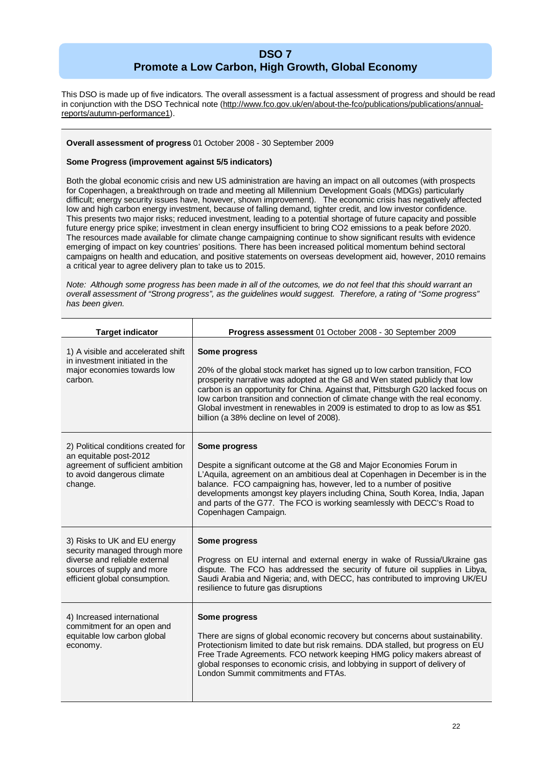## **DSO 7 Promote a Low Carbon, High Growth, Global Economy**

This DSO is made up of five indicators. The overall assessment is a factual assessment of progress and should be read in conjunction with the DSO Technical note (http://www.fco.gov.uk/en/about-the-fco/publications/publications/annualreports/autumn-performance1).

#### **Overall assessment of progress** 01 October 2008 - 30 September 2009

#### **Some Progress (improvement against 5/5 indicators)**

Both the global economic crisis and new US administration are having an impact on all outcomes (with prospects for Copenhagen, a breakthrough on trade and meeting all Millennium Development Goals (MDGs) particularly difficult; energy security issues have, however, shown improvement). The economic crisis has negatively affected low and high carbon energy investment, because of falling demand, tighter credit, and low investor confidence. This presents two major risks; reduced investment, leading to a potential shortage of future capacity and possible future energy price spike; investment in clean energy insufficient to bring CO2 emissions to a peak before 2020. The resources made available for climate change campaigning continue to show significant results with evidence emerging of impact on key countries' positions. There has been increased political momentum behind sectoral campaigns on health and education, and positive statements on overseas development aid, however, 2010 remains a critical year to agree delivery plan to take us to 2015.

*Note: Although some progress has been made in all of the outcomes, we do not feel that this should warrant an overall assessment of "Strong progress", as the guidelines would suggest. Therefore, a rating of "Some progress" has been given.*

| <b>Target indicator</b>                                                                                                                                       | Progress assessment 01 October 2008 - 30 September 2009                                                                                                                                                                                                                                                                                                                                                                                                                        |  |  |  |  |
|---------------------------------------------------------------------------------------------------------------------------------------------------------------|--------------------------------------------------------------------------------------------------------------------------------------------------------------------------------------------------------------------------------------------------------------------------------------------------------------------------------------------------------------------------------------------------------------------------------------------------------------------------------|--|--|--|--|
| 1) A visible and accelerated shift<br>in investment initiated in the<br>major economies towards low<br>carbon.                                                | Some progress<br>20% of the global stock market has signed up to low carbon transition, FCO<br>prosperity narrative was adopted at the G8 and Wen stated publicly that low<br>carbon is an opportunity for China. Against that, Pittsburgh G20 lacked focus on<br>low carbon transition and connection of climate change with the real economy.<br>Global investment in renewables in 2009 is estimated to drop to as low as \$51<br>billion (a 38% decline on level of 2008). |  |  |  |  |
| 2) Political conditions created for<br>an equitable post-2012<br>agreement of sufficient ambition<br>to avoid dangerous climate<br>change.                    | Some progress<br>Despite a significant outcome at the G8 and Major Economies Forum in<br>L'Aquila, agreement on an ambitious deal at Copenhagen in December is in the<br>balance. FCO campaigning has, however, led to a number of positive<br>developments amongst key players including China, South Korea, India, Japan<br>and parts of the G77. The FCO is working seamlessly with DECC's Road to<br>Copenhagen Campaign.                                                  |  |  |  |  |
| 3) Risks to UK and EU energy<br>security managed through more<br>diverse and reliable external<br>sources of supply and more<br>efficient global consumption. | Some progress<br>Progress on EU internal and external energy in wake of Russia/Ukraine gas<br>dispute. The FCO has addressed the security of future oil supplies in Libya,<br>Saudi Arabia and Nigeria; and, with DECC, has contributed to improving UK/EU<br>resilience to future gas disruptions                                                                                                                                                                             |  |  |  |  |
| 4) Increased international<br>commitment for an open and<br>equitable low carbon global<br>economy.                                                           | Some progress<br>There are signs of global economic recovery but concerns about sustainability.<br>Protectionism limited to date but risk remains. DDA stalled, but progress on EU<br>Free Trade Agreements. FCO network keeping HMG policy makers abreast of<br>global responses to economic crisis, and lobbying in support of delivery of<br>London Summit commitments and FTAs.                                                                                            |  |  |  |  |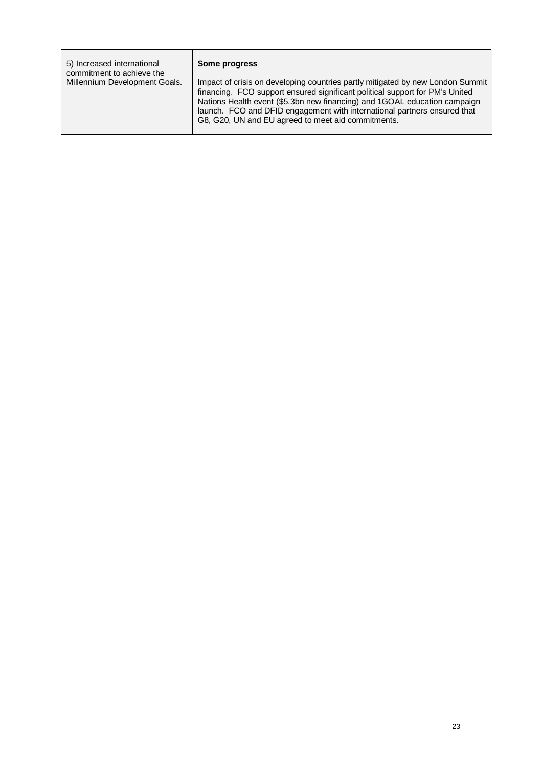| 5) Increased international<br>commitment to achieve the<br>Millennium Development Goals. | Some progress<br>Impact of crisis on developing countries partly mitigated by new London Summit<br>financing. FCO support ensured significant political support for PM's United<br>Nations Health event (\$5.3bn new financing) and 1GOAL education campaign<br>launch. FCO and DFID engagement with international partners ensured that |
|------------------------------------------------------------------------------------------|------------------------------------------------------------------------------------------------------------------------------------------------------------------------------------------------------------------------------------------------------------------------------------------------------------------------------------------|
|                                                                                          | G8, G20, UN and EU agreed to meet aid commitments.                                                                                                                                                                                                                                                                                       |

٦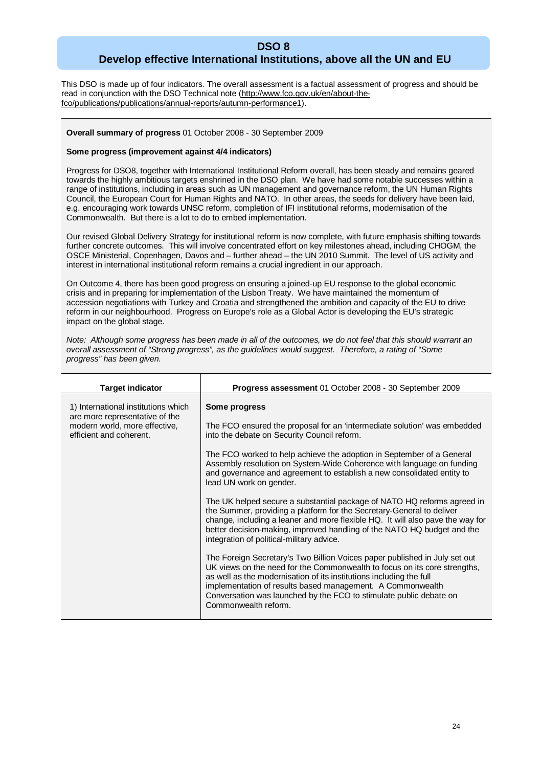## **DSO 8 Develop effective International Institutions, above all the UN and EU**

This DSO is made up of four indicators. The overall assessment is a factual assessment of progress and should be read in conjunction with the DSO Technical note (http://www.fco.gov.uk/en/about-thefco/publications/publications/annual-reports/autumn-performance1).

#### **Overall summary of progress** 01 October 2008 - 30 September 2009

#### **Some progress (improvement against 4/4 indicators)**

Progress for DSO8, together with International Institutional Reform overall, has been steady and remains geared towards the highly ambitious targets enshrined in the DSO plan. We have had some notable successes within a range of institutions, including in areas such as UN management and governance reform, the UN Human Rights Council, the European Court for Human Rights and NATO. In other areas, the seeds for delivery have been laid, e.g. encouraging work towards UNSC reform, completion of IFI institutional reforms, modernisation of the Commonwealth. But there is a lot to do to embed implementation.

Our revised Global Delivery Strategy for institutional reform is now complete, with future emphasis shifting towards further concrete outcomes. This will involve concentrated effort on key milestones ahead, including CHOGM, the OSCE Ministerial, Copenhagen, Davos and – further ahead – the UN 2010 Summit. The level of US activity and interest in international institutional reform remains a crucial ingredient in our approach.

On Outcome 4, there has been good progress on ensuring a joined-up EU response to the global economic crisis and in preparing for implementation of the Lisbon Treaty. We have maintained the momentum of accession negotiations with Turkey and Croatia and strengthened the ambition and capacity of the EU to drive reform in our neighbourhood. Progress on Europe's role as a Global Actor is developing the EU's strategic impact on the global stage.

*Note: Although some progress has been made in all of the outcomes, we do not feel that this should warrant an overall assessment of "Strong progress", as the guidelines would suggest. Therefore, a rating of "Some progress" has been given.*

| <b>Target indicator</b>                                                                                                           | <b>Progress assessment 01 October 2008 - 30 September 2009</b>                                                                                                                                                                                                                                                                                                                                                                                                                                                                                                                                                                                                                                                                                                                                                                                                                                                                                                                                                                                                                                                                                              |  |  |  |  |
|-----------------------------------------------------------------------------------------------------------------------------------|-------------------------------------------------------------------------------------------------------------------------------------------------------------------------------------------------------------------------------------------------------------------------------------------------------------------------------------------------------------------------------------------------------------------------------------------------------------------------------------------------------------------------------------------------------------------------------------------------------------------------------------------------------------------------------------------------------------------------------------------------------------------------------------------------------------------------------------------------------------------------------------------------------------------------------------------------------------------------------------------------------------------------------------------------------------------------------------------------------------------------------------------------------------|--|--|--|--|
| 1) International institutions which<br>are more representative of the<br>modern world, more effective,<br>efficient and coherent. | Some progress<br>The FCO ensured the proposal for an 'intermediate solution' was embedded<br>into the debate on Security Council reform.<br>The FCO worked to help achieve the adoption in September of a General<br>Assembly resolution on System-Wide Coherence with language on funding<br>and governance and agreement to establish a new consolidated entity to<br>lead UN work on gender.<br>The UK helped secure a substantial package of NATO HQ reforms agreed in<br>the Summer, providing a platform for the Secretary-General to deliver<br>change, including a leaner and more flexible HQ. It will also pave the way for<br>better decision-making, improved handling of the NATO HQ budget and the<br>integration of political-military advice.<br>The Foreign Secretary's Two Billion Voices paper published in July set out<br>UK views on the need for the Commonwealth to focus on its core strengths,<br>as well as the modernisation of its institutions including the full<br>implementation of results based management. A Commonwealth<br>Conversation was launched by the FCO to stimulate public debate on<br>Commonwealth reform. |  |  |  |  |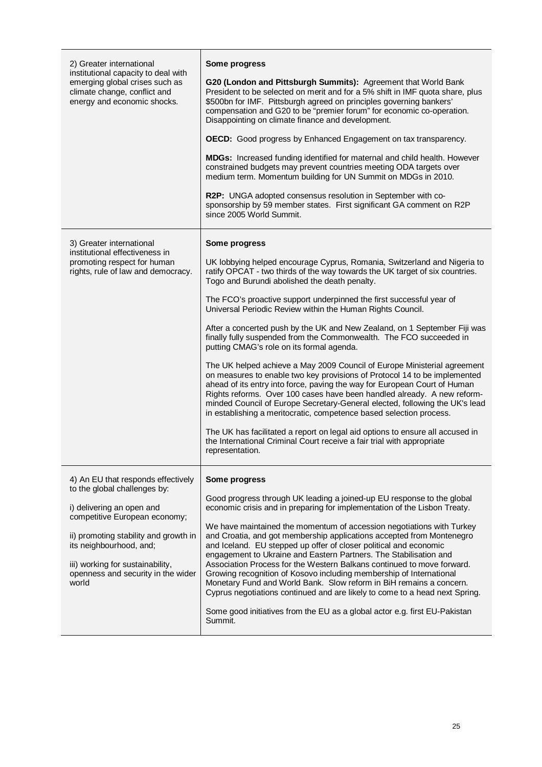| 2) Greater international<br>institutional capacity to deal with                                                                                                                                                                                   | Some progress                                                                                                                                                                                                                                                                                                                                                                                                                                                       |  |  |
|---------------------------------------------------------------------------------------------------------------------------------------------------------------------------------------------------------------------------------------------------|---------------------------------------------------------------------------------------------------------------------------------------------------------------------------------------------------------------------------------------------------------------------------------------------------------------------------------------------------------------------------------------------------------------------------------------------------------------------|--|--|
| emerging global crises such as<br>climate change, conflict and<br>energy and economic shocks.                                                                                                                                                     | G20 (London and Pittsburgh Summits): Agreement that World Bank<br>President to be selected on merit and for a 5% shift in IMF quota share, plus<br>\$500bn for IMF. Pittsburgh agreed on principles governing bankers'<br>compensation and G20 to be "premier forum" for economic co-operation.<br>Disappointing on climate finance and development.                                                                                                                |  |  |
|                                                                                                                                                                                                                                                   | <b>OECD:</b> Good progress by Enhanced Engagement on tax transparency.                                                                                                                                                                                                                                                                                                                                                                                              |  |  |
|                                                                                                                                                                                                                                                   | MDGs: Increased funding identified for maternal and child health. However<br>constrained budgets may prevent countries meeting ODA targets over<br>medium term. Momentum building for UN Summit on MDGs in 2010.                                                                                                                                                                                                                                                    |  |  |
|                                                                                                                                                                                                                                                   | <b>R2P:</b> UNGA adopted consensus resolution in September with co-<br>sponsorship by 59 member states. First significant GA comment on R2P<br>since 2005 World Summit.                                                                                                                                                                                                                                                                                             |  |  |
| 3) Greater international                                                                                                                                                                                                                          | Some progress                                                                                                                                                                                                                                                                                                                                                                                                                                                       |  |  |
| institutional effectiveness in<br>promoting respect for human<br>rights, rule of law and democracy.                                                                                                                                               | UK lobbying helped encourage Cyprus, Romania, Switzerland and Nigeria to<br>ratify OPCAT - two thirds of the way towards the UK target of six countries.<br>Togo and Burundi abolished the death penalty.                                                                                                                                                                                                                                                           |  |  |
|                                                                                                                                                                                                                                                   | The FCO's proactive support underpinned the first successful year of<br>Universal Periodic Review within the Human Rights Council.                                                                                                                                                                                                                                                                                                                                  |  |  |
|                                                                                                                                                                                                                                                   | After a concerted push by the UK and New Zealand, on 1 September Fiji was<br>finally fully suspended from the Commonwealth. The FCO succeeded in<br>putting CMAG's role on its formal agenda.                                                                                                                                                                                                                                                                       |  |  |
|                                                                                                                                                                                                                                                   | The UK helped achieve a May 2009 Council of Europe Ministerial agreement<br>on measures to enable two key provisions of Protocol 14 to be implemented<br>ahead of its entry into force, paving the way for European Court of Human<br>Rights reforms. Over 100 cases have been handled already. A new reform-<br>minded Council of Europe Secretary-General elected, following the UK's lead<br>in establishing a meritocratic, competence based selection process. |  |  |
|                                                                                                                                                                                                                                                   | The UK has facilitated a report on legal aid options to ensure all accused in<br>the International Criminal Court receive a fair trial with appropriate<br>representation.                                                                                                                                                                                                                                                                                          |  |  |
| 4) An EU that responds effectively                                                                                                                                                                                                                | Some progress                                                                                                                                                                                                                                                                                                                                                                                                                                                       |  |  |
| to the global challenges by:<br>i) delivering an open and<br>competitive European economy;<br>ii) promoting stability and growth in<br>its neighbourhood, and;<br>iii) working for sustainability,<br>openness and security in the wider<br>world | Good progress through UK leading a joined-up EU response to the global<br>economic crisis and in preparing for implementation of the Lisbon Treaty.                                                                                                                                                                                                                                                                                                                 |  |  |
|                                                                                                                                                                                                                                                   | We have maintained the momentum of accession negotiations with Turkey<br>and Croatia, and got membership applications accepted from Montenegro<br>and Iceland. EU stepped up offer of closer political and economic<br>engagement to Ukraine and Eastern Partners. The Stabilisation and                                                                                                                                                                            |  |  |
|                                                                                                                                                                                                                                                   | Association Process for the Western Balkans continued to move forward.<br>Growing recognition of Kosovo including membership of International<br>Monetary Fund and World Bank. Slow reform in BiH remains a concern.<br>Cyprus negotiations continued and are likely to come to a head next Spring.                                                                                                                                                                 |  |  |
|                                                                                                                                                                                                                                                   | Some good initiatives from the EU as a global actor e.g. first EU-Pakistan<br>Summit.                                                                                                                                                                                                                                                                                                                                                                               |  |  |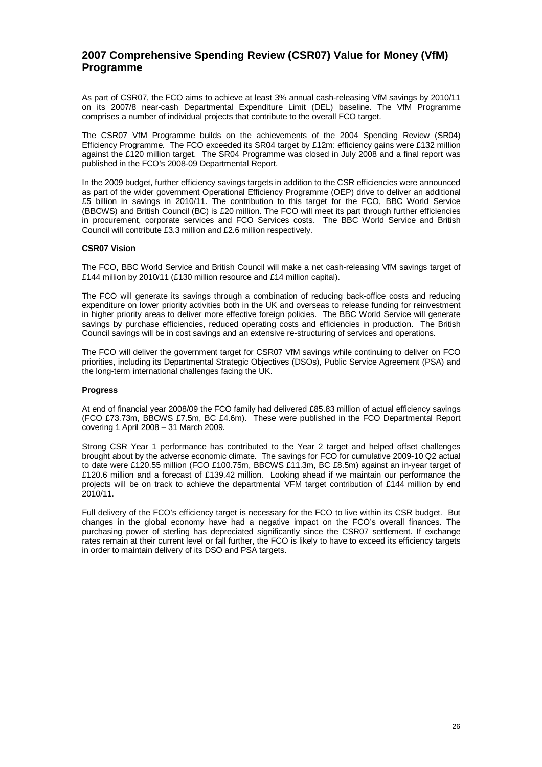## **2007 Comprehensive Spending Review (CSR07) Value for Money (VfM) Programme**

As part of CSR07, the FCO aims to achieve at least 3% annual cash-releasing VfM savings by 2010/11 on its 2007/8 near-cash Departmental Expenditure Limit (DEL) baseline. The VfM Programme comprises a number of individual projects that contribute to the overall FCO target.

The CSR07 VfM Programme builds on the achievements of the 2004 Spending Review (SR04) Efficiency Programme. The FCO exceeded its SR04 target by £12m: efficiency gains were £132 million against the £120 million target. The SR04 Programme was closed in July 2008 and a final report was published in the FCO's 2008-09 Departmental Report.

In the 2009 budget, further efficiency savings targets in addition to the CSR efficiencies were announced as part of the wider government Operational Efficiency Programme (OEP) drive to deliver an additional £5 billion in savings in 2010/11. The contribution to this target for the FCO, BBC World Service (BBCWS) and British Council (BC) is £20 million. The FCO will meet its part through further efficiencies in procurement, corporate services and FCO Services costs. The BBC World Service and British Council will contribute £3.3 million and £2.6 million respectively.

#### **CSR07 Vision**

The FCO, BBC World Service and British Council will make a net cash-releasing VfM savings target of £144 million by 2010/11 (£130 million resource and £14 million capital).

The FCO will generate its savings through a combination of reducing back-office costs and reducing expenditure on lower priority activities both in the UK and overseas to release funding for reinvestment in higher priority areas to deliver more effective foreign policies. The BBC World Service will generate savings by purchase efficiencies, reduced operating costs and efficiencies in production. The British Council savings will be in cost savings and an extensive re-structuring of services and operations.

The FCO will deliver the government target for CSR07 VfM savings while continuing to deliver on FCO priorities, including its Departmental Strategic Objectives (DSOs), Public Service Agreement (PSA) and the long-term international challenges facing the UK.

#### **Progress**

At end of financial year 2008/09 the FCO family had delivered £85.83 million of actual efficiency savings (FCO £73.73m, BBCWS £7.5m, BC £4.6m). These were published in the FCO Departmental Report covering 1 April 2008 – 31 March 2009.

Strong CSR Year 1 performance has contributed to the Year 2 target and helped offset challenges brought about by the adverse economic climate. The savings for FCO for cumulative 2009-10 Q2 actual to date were £120.55 million (FCO £100.75m, BBCWS £11.3m, BC £8.5m) against an in-year target of £120.6 million and a forecast of £139.42 million. Looking ahead if we maintain our performance the projects will be on track to achieve the departmental VFM target contribution of £144 million by end 2010/11.

Full delivery of the FCO's efficiency target is necessary for the FCO to live within its CSR budget. But changes in the global economy have had a negative impact on the FCO's overall finances. The purchasing power of sterling has depreciated significantly since the CSR07 settlement. If exchange rates remain at their current level or fall further, the FCO is likely to have to exceed its efficiency targets in order to maintain delivery of its DSO and PSA targets.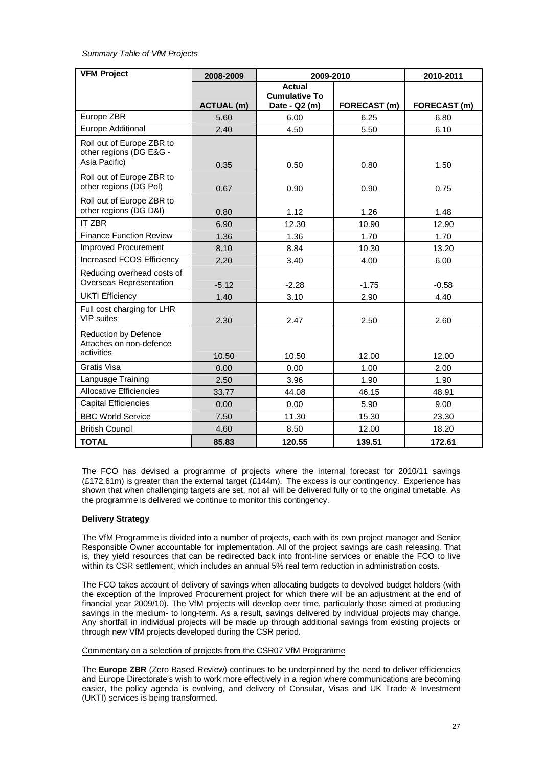#### *Summary Table of VfM Projects*

| <b>VFM Project</b>                                                    | 2008-2009         | 2009-2010                                              |              | 2010-2011    |
|-----------------------------------------------------------------------|-------------------|--------------------------------------------------------|--------------|--------------|
|                                                                       | <b>ACTUAL (m)</b> | <b>Actual</b><br><b>Cumulative To</b><br>Date - Q2 (m) | FORECAST (m) | FORECAST (m) |
| Europe ZBR                                                            | 5.60              | 6.00                                                   | 6.25         | 6.80         |
| Europe Additional                                                     | 2.40              | 4.50                                                   | 5.50         | 6.10         |
| Roll out of Europe ZBR to<br>other regions (DG E&G -<br>Asia Pacific) | 0.35              | 0.50                                                   | 0.80         | 1.50         |
| Roll out of Europe ZBR to<br>other regions (DG Pol)                   | 0.67              | 0.90                                                   | 0.90         | 0.75         |
| Roll out of Europe ZBR to<br>other regions (DG D&I)                   | 0.80              | 1.12                                                   | 1.26         | 1.48         |
| <b>IT ZBR</b>                                                         | 6.90              | 12.30                                                  | 10.90        | 12.90        |
| <b>Finance Function Review</b>                                        | 1.36              | 1.36                                                   | 1.70         | 1.70         |
| Improved Procurement                                                  | 8.10              | 8.84                                                   | 10.30        | 13.20        |
| <b>Increased FCOS Efficiency</b>                                      | 2.20              | 3.40                                                   | 4.00         | 6.00         |
| Reducing overhead costs of<br>Overseas Representation                 | $-5.12$           | $-2.28$                                                | $-1.75$      | $-0.58$      |
| <b>UKTI Efficiency</b>                                                | 1.40              | 3.10                                                   | 2.90         | 4.40         |
| Full cost charging for LHR<br><b>VIP</b> suites                       | 2.30              | 2.47                                                   | 2.50         | 2.60         |
| <b>Reduction by Defence</b><br>Attaches on non-defence<br>activities  | 10.50             | 10.50                                                  | 12.00        | 12.00        |
| Gratis Visa                                                           | 0.00              | 0.00                                                   | 1.00         | 2.00         |
| Language Training                                                     | 2.50              | 3.96                                                   | 1.90         | 1.90         |
| <b>Allocative Efficiencies</b>                                        | 33.77             | 44.08                                                  | 46.15        | 48.91        |
| <b>Capital Efficiencies</b>                                           | 0.00              | 0.00                                                   | 5.90         | 9.00         |
| <b>BBC World Service</b>                                              | 7.50              | 11.30                                                  | 15.30        | 23.30        |
| <b>British Council</b>                                                | 4.60              | 8.50                                                   | 12.00        | 18.20        |
| <b>TOTAL</b>                                                          | 85.83             | 120.55                                                 | 139.51       | 172.61       |

The FCO has devised a programme of projects where the internal forecast for 2010/11 savings (£172.61m) is greater than the external target (£144m). The excess is our contingency. Experience has shown that when challenging targets are set, not all will be delivered fully or to the original timetable. As the programme is delivered we continue to monitor this contingency.

#### **Delivery Strategy**

The VfM Programme is divided into a number of projects, each with its own project manager and Senior Responsible Owner accountable for implementation. All of the project savings are cash releasing. That is, they yield resources that can be redirected back into front-line services or enable the FCO to live within its CSR settlement, which includes an annual 5% real term reduction in administration costs.

The FCO takes account of delivery of savings when allocating budgets to devolved budget holders (with the exception of the Improved Procurement project for which there will be an adjustment at the end of financial year 2009/10). The VfM projects will develop over time, particularly those aimed at producing savings in the medium- to long-term. As a result, savings delivered by individual projects may change. Any shortfall in individual projects will be made up through additional savings from existing projects or through new VfM projects developed during the CSR period.

#### Commentary on a selection of projects from the CSR07 VfM Programme

The **Europe ZBR** (Zero Based Review) continues to be underpinned by the need to deliver efficiencies and Europe Directorate's wish to work more effectively in a region where communications are becoming easier, the policy agenda is evolving, and delivery of Consular, Visas and UK Trade & Investment (UKTI) services is being transformed.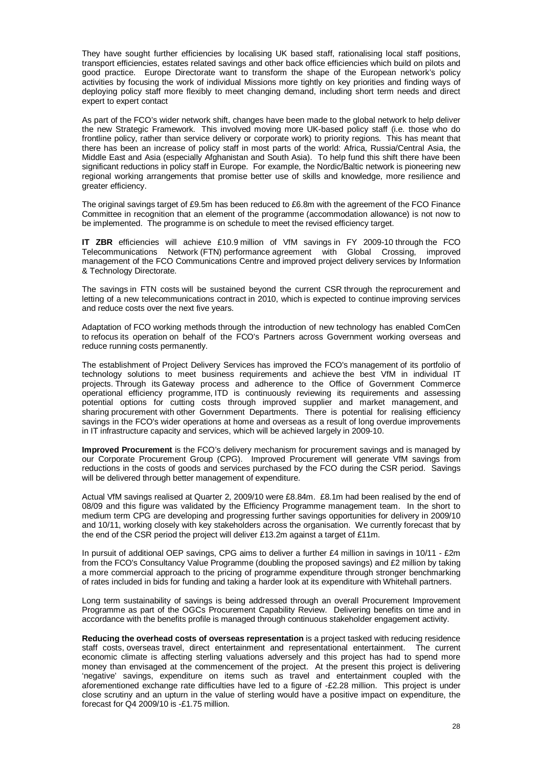They have sought further efficiencies by localising UK based staff, rationalising local staff positions, transport efficiencies, estates related savings and other back office efficiencies which build on pilots and good practice. Europe Directorate want to transform the shape of the European network's policy activities by focusing the work of individual Missions more tightly on key priorities and finding ways of deploying policy staff more flexibly to meet changing demand, including short term needs and direct expert to expert contact

As part of the FCO's wider network shift, changes have been made to the global network to help deliver the new Strategic Framework. This involved moving more UK-based policy staff (i.e. those who do frontline policy, rather than service delivery or corporate work) to priority regions. This has meant that there has been an increase of policy staff in most parts of the world: Africa, Russia/Central Asia, the Middle East and Asia (especially Afghanistan and South Asia). To help fund this shift there have been significant reductions in policy staff in Europe. For example, the Nordic/Baltic network is pioneering new regional working arrangements that promise better use of skills and knowledge, more resilience and greater efficiency.

The original savings target of £9.5m has been reduced to £6.8m with the agreement of the FCO Finance Committee in recognition that an element of the programme (accommodation allowance) is not now to be implemented. The programme is on schedule to meet the revised efficiency target.

**IT ZBR** efficiencies will achieve £10.9 million of VfM savings in FY 2009-10 through the FCO Telecommunications Network (FTN) performance agreement with Global Crossing, improved management of the FCO Communications Centre and improved project delivery services by Information & Technology Directorate.

The savings in FTN costs will be sustained beyond the current CSR through the reprocurement and letting of a new telecommunications contract in 2010, which is expected to continue improving services and reduce costs over the next five years.

Adaptation of FCO working methods through the introduction of new technology has enabled ComCen to refocus its operation on behalf of the FCO's Partners across Government working overseas and reduce running costs permanently.

The establishment of Project Delivery Services has improved the FCO's management of its portfolio of technology solutions to meet business requirements and achieve the best VfM in individual IT projects. Through its Gateway process and adherence to the Office of Government Commerce operational efficiency programme, ITD is continuously reviewing its requirements and assessing potential options for cutting costs through improved supplier and market management, and sharing procurement with other Government Departments. There is potential for realising efficiency savings in the FCO's wider operations at home and overseas as a result of long overdue improvements in IT infrastructure capacity and services, which will be achieved largely in 2009-10.

**Improved Procurement** is the FCO's delivery mechanism for procurement savings and is managed by our Corporate Procurement Group (CPG). Improved Procurement will generate VfM savings from reductions in the costs of goods and services purchased by the FCO during the CSR period. Savings will be delivered through better management of expenditure.

Actual VfM savings realised at Quarter 2, 2009/10 were £8.84m. £8.1m had been realised by the end of 08/09 and this figure was validated by the Efficiency Programme management team. In the short to medium term CPG are developing and progressing further savings opportunities for delivery in 2009/10 and 10/11, working closely with key stakeholders across the organisation. We currently forecast that by the end of the CSR period the project will deliver £13.2m against a target of £11m.

In pursuit of additional OEP savings, CPG aims to deliver a further £4 million in savings in 10/11 - £2m from the FCO's Consultancy Value Programme (doubling the proposed savings) and £2 million by taking a more commercial approach to the pricing of programme expenditure through stronger benchmarking of rates included in bids for funding and taking a harder look at its expenditure with Whitehall partners.

Long term sustainability of savings is being addressed through an overall Procurement Improvement Programme as part of the OGCs Procurement Capability Review. Delivering benefits on time and in accordance with the benefits profile is managed through continuous stakeholder engagement activity.

**Reducing the overhead costs of overseas representation** is a project tasked with reducing residence staff costs, overseas travel, direct entertainment and representational entertainment. The current economic climate is affecting sterling valuations adversely and this project has had to spend more money than envisaged at the commencement of the project. At the present this project is delivering 'negative' savings, expenditure on items such as travel and entertainment coupled with the aforementioned exchange rate difficulties have led to a figure of -£2.28 million. This project is under close scrutiny and an upturn in the value of sterling would have a positive impact on expenditure, the forecast for  $\ddot{Q}$ 4 2009/10 is -£1.75 million.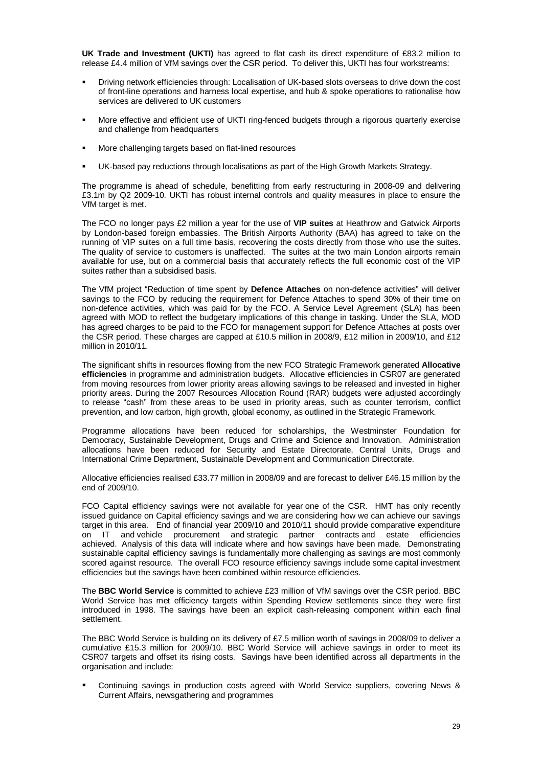**UK Trade and Investment (UKTI)** has agreed to flat cash its direct expenditure of £83.2 million to release £4.4 million of VfM savings over the CSR period. To deliver this, UKTI has four workstreams:

- Driving network efficiencies through: Localisation of UK-based slots overseas to drive down the cost of front-line operations and harness local expertise, and hub & spoke operations to rationalise how services are delivered to UK customers
- More effective and efficient use of UKTI ring-fenced budgets through a rigorous quarterly exercise and challenge from headquarters
- More challenging targets based on flat-lined resources
- UK-based pay reductions through localisations as part of the High Growth Markets Strategy.

The programme is ahead of schedule, benefitting from early restructuring in 2008-09 and delivering £3.1m by Q2 2009-10. UKTI has robust internal controls and quality measures in place to ensure the VfM target is met.

The FCO no longer pays £2 million a year for the use of **VIP suites** at Heathrow and Gatwick Airports by London-based foreign embassies. The British Airports Authority (BAA) has agreed to take on the running of VIP suites on a full time basis, recovering the costs directly from those who use the suites. The quality of service to customers is unaffected. The suites at the two main London airports remain available for use, but on a commercial basis that accurately reflects the full economic cost of the VIP suites rather than a subsidised basis.

The VfM project "Reduction of time spent by **Defence Attaches** on non-defence activities" will deliver savings to the FCO by reducing the requirement for Defence Attaches to spend 30% of their time on non-defence activities, which was paid for by the FCO. A Service Level Agreement (SLA) has been agreed with MOD to reflect the budgetary implications of this change in tasking. Under the SLA, MOD has agreed charges to be paid to the FCO for management support for Defence Attaches at posts over the CSR period. These charges are capped at £10.5 million in 2008/9, £12 million in 2009/10, and £12 million in 2010/11.

The significant shifts in resources flowing from the new FCO Strategic Framework generated **Allocative efficiencies** in programme and administration budgets. Allocative efficiencies in CSR07 are generated from moving resources from lower priority areas allowing savings to be released and invested in higher priority areas. During the 2007 Resources Allocation Round (RAR) budgets were adjusted accordingly to release "cash" from these areas to be used in priority areas, such as counter terrorism, conflict prevention, and low carbon, high growth, global economy, as outlined in the Strategic Framework.

Programme allocations have been reduced for scholarships, the Westminster Foundation for Democracy, Sustainable Development, Drugs and Crime and Science and Innovation. Administration allocations have been reduced for Security and Estate Directorate, Central Units, Drugs and International Crime Department, Sustainable Development and Communication Directorate.

Allocative efficiencies realised £33.77 million in 2008/09 and are forecast to deliver £46.15 million by the end of 2009/10.

FCO Capital efficiency savings were not available for year one of the CSR. HMT has only recently issued guidance on Capital efficiency savings and we are considering how we can achieve our savings target in this area. End of financial year 2009/10 and 2010/11 should provide comparative expenditure on IT and vehicle procurement and strategic partner contracts and estate efficiencies achieved. Analysis of this data will indicate where and how savings have been made. Demonstrating sustainable capital efficiency savings is fundamentally more challenging as savings are most commonly scored against resource. The overall FCO resource efficiency savings include some capital investment efficiencies but the savings have been combined within resource efficiencies.

The **BBC World Service** is committed to achieve £23 million of VfM savings over the CSR period. BBC World Service has met efficiency targets within Spending Review settlements since they were first introduced in 1998. The savings have been an explicit cash-releasing component within each final settlement.

The BBC World Service is building on its delivery of £7.5 million worth of savings in 2008/09 to deliver a cumulative £15.3 million for 2009/10. BBC World Service will achieve savings in order to meet its CSR07 targets and offset its rising costs. Savings have been identified across all departments in the organisation and include:

 Continuing savings in production costs agreed with World Service suppliers, covering News & Current Affairs, newsgathering and programmes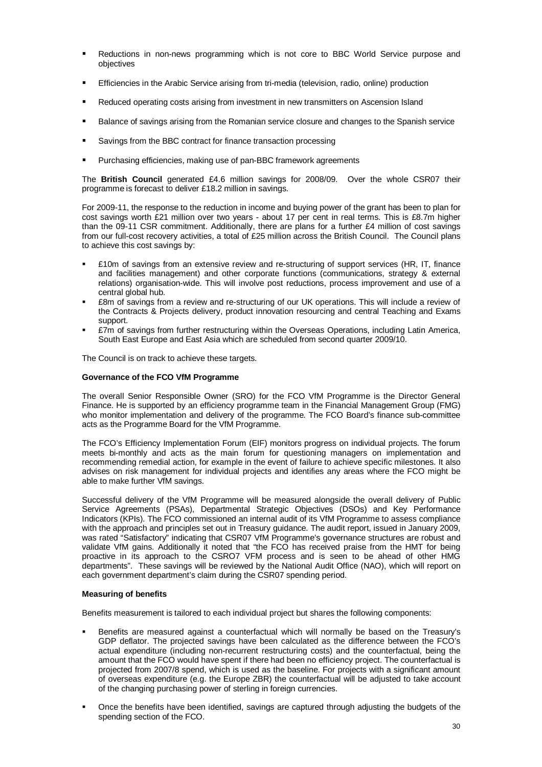- Reductions in non-news programming which is not core to BBC World Service purpose and objectives
- Efficiencies in the Arabic Service arising from tri-media (television, radio, online) production
- Reduced operating costs arising from investment in new transmitters on Ascension Island
- **Balance of savings arising from the Romanian service closure and changes to the Spanish service**
- Savings from the BBC contract for finance transaction processing
- **Purchasing efficiencies, making use of pan-BBC framework agreements**

The **British Council** generated £4.6 million savings for 2008/09. Over the whole CSR07 their programme is forecast to deliver £18.2 million in savings.

For 2009-11, the response to the reduction in income and buying power of the grant has been to plan for cost savings worth £21 million over two years - about 17 per cent in real terms. This is £8.7m higher than the 09-11 CSR commitment. Additionally, there are plans for a further £4 million of cost savings from our full-cost recovery activities, a total of £25 million across the British Council. The Council plans to achieve this cost savings by:

- £10m of savings from an extensive review and re-structuring of support services (HR, IT, finance and facilities management) and other corporate functions (communications, strategy & external relations) organisation-wide. This will involve post reductions, process improvement and use of a central global hub.
- £8m of savings from a review and re-structuring of our UK operations. This will include a review of the Contracts & Projects delivery, product innovation resourcing and central Teaching and Exams support.
- £7m of savings from further restructuring within the Overseas Operations, including Latin America, South East Europe and East Asia which are scheduled from second quarter 2009/10.

The Council is on track to achieve these targets.

#### **Governance of the FCO VfM Programme**

The overall Senior Responsible Owner (SRO) for the FCO VfM Programme is the Director General Finance. He is supported by an efficiency programme team in the Financial Management Group (FMG) who monitor implementation and delivery of the programme. The FCO Board's finance sub-committee acts as the Programme Board for the VfM Programme.

The FCO's Efficiency Implementation Forum (EIF) monitors progress on individual projects. The forum meets bi-monthly and acts as the main forum for questioning managers on implementation and recommending remedial action, for example in the event of failure to achieve specific milestones. It also advises on risk management for individual projects and identifies any areas where the FCO might be able to make further VfM savings.

Successful delivery of the VfM Programme will be measured alongside the overall delivery of Public Service Agreements (PSAs), Departmental Strategic Objectives (DSOs) and Key Performance Indicators (KPIs). The FCO commissioned an internal audit of its VfM Programme to assess compliance with the approach and principles set out in Treasury guidance. The audit report, issued in January 2009, was rated "Satisfactory" indicating that CSR07 VfM Programme's governance structures are robust and validate VfM gains. Additionally it noted that "the FCO has received praise from the HMT for being proactive in its approach to the CSRO7 VFM process and is seen to be ahead of other HMG departments". These savings will be reviewed by the National Audit Office (NAO), which will report on each government department's claim during the CSR07 spending period.

#### **Measuring of benefits**

Benefits measurement is tailored to each individual project but shares the following components:

- Benefits are measured against a counterfactual which will normally be based on the Treasury's GDP deflator. The projected savings have been calculated as the difference between the FCO's actual expenditure (including non-recurrent restructuring costs) and the counterfactual, being the amount that the FCO would have spent if there had been no efficiency project. The counterfactual is projected from 2007/8 spend, which is used as the baseline. For projects with a significant amount of overseas expenditure (e.g. the Europe ZBR) the counterfactual will be adjusted to take account of the changing purchasing power of sterling in foreign currencies.
- Once the benefits have been identified, savings are captured through adjusting the budgets of the spending section of the FCO.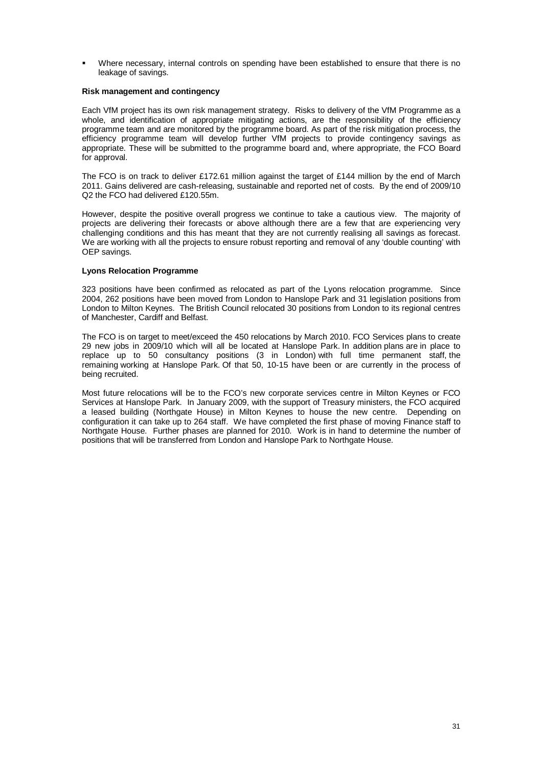Where necessary, internal controls on spending have been established to ensure that there is no leakage of savings.

#### **Risk management and contingency**

Each VfM project has its own risk management strategy. Risks to delivery of the VfM Programme as a whole, and identification of appropriate mitigating actions, are the responsibility of the efficiency programme team and are monitored by the programme board. As part of the risk mitigation process, the efficiency programme team will develop further VfM projects to provide contingency savings as appropriate. These will be submitted to the programme board and, where appropriate, the FCO Board for approval.

The FCO is on track to deliver £172.61 million against the target of £144 million by the end of March 2011. Gains delivered are cash-releasing, sustainable and reported net of costs. By the end of 2009/10 Q2 the FCO had delivered £120.55m.

However, despite the positive overall progress we continue to take a cautious view. The majority of projects are delivering their forecasts or above although there are a few that are experiencing very challenging conditions and this has meant that they are not currently realising all savings as forecast. We are working with all the projects to ensure robust reporting and removal of any 'double counting' with OEP savings.

#### **Lyons Relocation Programme**

323 positions have been confirmed as relocated as part of the Lyons relocation programme. Since 2004, 262 positions have been moved from London to Hanslope Park and 31 legislation positions from London to Milton Keynes. The British Council relocated 30 positions from London to its regional centres of Manchester, Cardiff and Belfast.

The FCO is on target to meet/exceed the 450 relocations by March 2010. FCO Services plans to create 29 new jobs in 2009/10 which will all be located at Hanslope Park. In addition plans are in place to replace up to 50 consultancy positions (3 in London) with full time permanent staff, the remaining working at Hanslope Park. Of that 50, 10-15 have been or are currently in the process of being recruited.

Most future relocations will be to the FCO's new corporate services centre in Milton Keynes or FCO Services at Hanslope Park. In January 2009, with the support of Treasury ministers, the FCO acquired a leased building (Northgate House) in Milton Keynes to house the new centre. Depending on configuration it can take up to 264 staff. We have completed the first phase of moving Finance staff to Northgate House. Further phases are planned for 2010. Work is in hand to determine the number of positions that will be transferred from London and Hanslope Park to Northgate House.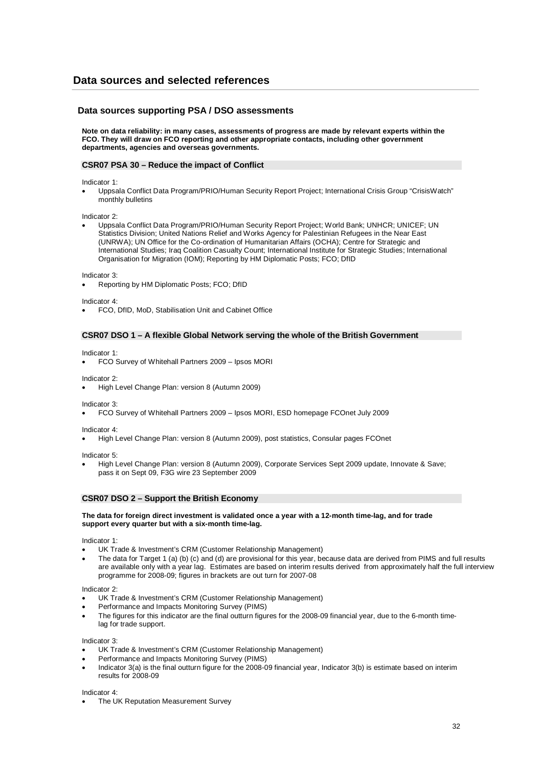## **Data sources and selected references**

#### **Data sources supporting PSA / DSO assessments**

**Note on data reliability: in many cases, assessments of progress are made by relevant experts within the FCO. They will draw on FCO reporting and other appropriate contacts, including other government departments, agencies and overseas governments.**

#### **CSR07 PSA 30 – Reduce the impact of Conflict**

Indicator 1:

 Uppsala Conflict Data Program/PRIO/Human Security Report Project; International Crisis Group "CrisisWatch" monthly bulletins

Indicator 2:

 Uppsala Conflict Data Program/PRIO/Human Security Report Project; World Bank; UNHCR; UNICEF; UN Statistics Division; United Nations Relief and Works Agency for Palestinian Refugees in the Near East (UNRWA); UN Office for the Co-ordination of Humanitarian Affairs (OCHA); Centre for Strategic and International Studies; Iraq Coalition Casualty Count; International Institute for Strategic Studies; International Organisation for Migration (IOM); Reporting by HM Diplomatic Posts; FCO; DfID

Indicator 3:

Reporting by HM Diplomatic Posts; FCO; DfID

Indicator 4:

FCO, DfID, MoD, Stabilisation Unit and Cabinet Office

#### **CSR07 DSO 1 – A flexible Global Network serving the whole of the British Government**

Indicator 1:

FCO Survey of Whitehall Partners 2009 – Ipsos MORI

Indicator 2:

High Level Change Plan: version 8 (Autumn 2009)

Indicator 3:

FCO Survey of Whitehall Partners 2009 – Ipsos MORI, ESD homepage FCOnet July 2009

Indicator 4:

High Level Change Plan: version 8 (Autumn 2009), post statistics, Consular pages FCOnet

Indicator 5:

 High Level Change Plan: version 8 (Autumn 2009), Corporate Services Sept 2009 update, Innovate & Save; pass it on Sept 09, F3G wire 23 September 2009

#### **CSR07 DSO 2 – Support the British Economy**

#### **The data for foreign direct investment is validated once a year with a 12-month time-lag, and for trade support every quarter but with a six-month time-lag.**

Indicator 1:

- UK Trade & Investment's CRM (Customer Relationship Management)
- The data for Target 1 (a) (b) (c) and (d) are provisional for this year, because data are derived from PIMS and full results are available only with a year lag. Estimates are based on interim results derived from approximately half the full interview programme for 2008-09; figures in brackets are out turn for 2007-08

Indicator 2:

- UK Trade & Investment's CRM (Customer Relationship Management)
- Performance and Impacts Monitoring Survey (PIMS)
- The figures for this indicator are the final outturn figures for the 2008-09 financial year, due to the 6-month timelag for trade support.

Indicator 3:

- UK Trade & Investment's CRM (Customer Relationship Management)
- Performance and Impacts Monitoring Survey (PIMS)
- Indicator 3(a) is the final outturn figure for the 2008-09 financial year, Indicator 3(b) is estimate based on interim results for 2008-09

Indicator 4:

The UK Reputation Measurement Survey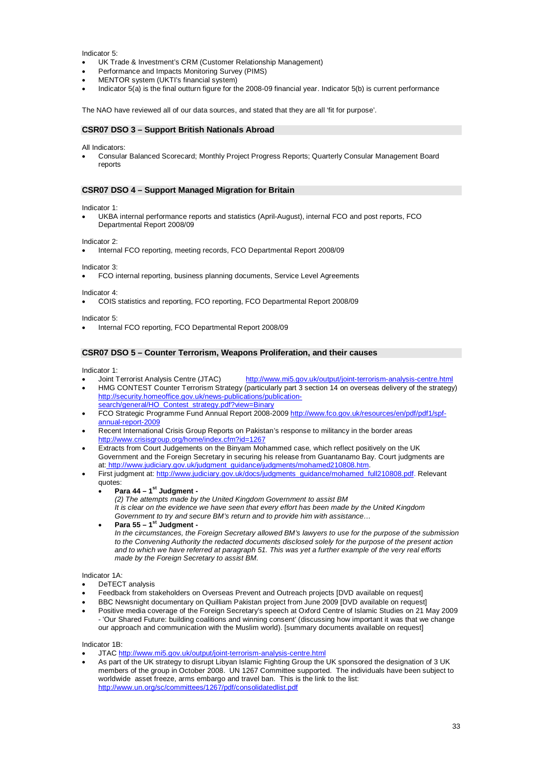Indicator 5:

- UK Trade & Investment's CRM (Customer Relationship Management)
- Performance and Impacts Monitoring Survey (PIMS)
- MENTOR system (UKTI's financial system)
- Indicator 5(a) is the final outturn figure for the 2008-09 financial year. Indicator 5(b) is current performance

The NAO have reviewed all of our data sources, and stated that they are all 'fit for purpose'.

#### **CSR07 DSO 3 – Support British Nationals Abroad**

All Indicators:

 Consular Balanced Scorecard; Monthly Project Progress Reports; Quarterly Consular Management Board reports

#### **CSR07 DSO 4 – Support Managed Migration for Britain**

Indicator 1:

 UKBA internal performance reports and statistics (April-August), internal FCO and post reports, FCO Departmental Report 2008/09

Indicator 2:

Internal FCO reporting, meeting records, FCO Departmental Report 2008/09

Indicator 3:

FCO internal reporting, business planning documents, Service Level Agreements

Indicator 4:

COIS statistics and reporting, FCO reporting, FCO Departmental Report 2008/09

Indicator 5:

Internal FCO reporting, FCO Departmental Report 2008/09

#### **CSR07 DSO 5 – Counter Terrorism, Weapons Proliferation, and their causes**

- Indicator 1:<br>• Joint Terrorist Analysis Centre (JTAC) http://www.mi5.gov.uk/output/joint-terrorism-analysis-centre.html HMG CONTEST Counter Terrorism Strategy (particularly part 3 section 14 on overseas delivery of the strategy) http://security.homeoffice.gov.uk/news-publications/publicationsearch/general/HO\_Contest\_strategy.pdf?view=Binary
- FCO Strategic Programme Fund Annual Report 2008-2009 http://www.fco.gov.uk/resources/en/pdf/pdf1/spfannual-report-2009
- Recent International Crisis Group Reports on Pakistan's response to militancy in the border areas http://www.crisisgroup.org/home/index.cfm?id=1267
- Extracts from Court Judgements on the Binyam Mohammed case, which reflect positively on the UK Government and the Foreign Secretary in securing his release from Guantanamo Bay. Court judgments are at: http://www.judiciary.gov.uk/judgment\_guidance/judgments/mohamed210808.htm.
- First judgment at: http://www.judiciary.gov.uk/docs/judgments\_guidance/mohamed\_full210808.pdf. Relevant quotes:
	- **Para 44 1st Judgment -**
		- *(2) The attempts made by the United Kingdom Government to assist BM It is clear on the evidence we have seen that every effort has been made by the United Kingdom Government to try and secure BM's return and to provide him with assistance…*
	- **Para 55 1st Judgment -** *In the circumstances, the Foreign Secretary allowed BM's lawyers to use for the purpose of the submission to the Convening Authority the redacted documents disclosed solely for the purpose of the present action and to which we have referred at paragraph 51. This was yet a further example of the very real efforts made by the Foreign Secretary to assist BM.*

Indicator 1A:

- DeTECT analysis
- Feedback from stakeholders on Overseas Prevent and Outreach projects [DVD available on request]
- BBC Newsnight documentary on Quilliam Pakistan project from June 2009 [DVD available on request]
- Positive media coverage of the Foreign Secretary's speech at Oxford Centre of Islamic Studies on 21 May 2009 - 'Our Shared Future: building coalitions and winning consent' (discussing how important it was that we change our approach and communication with the Muslim world). [summary documents available on request]

Indicator 1B:

- JTAC http://www.mi5.gov.uk/output/joint-terrorism-analysis-centre.html
- As part of the UK strategy to disrupt Libyan Islamic Fighting Group the UK sponsored the designation of 3 UK members of the group in October 2008. UN 1267 Committee supported. The individuals have been subject to worldwide asset freeze, arms embargo and travel ban. This is the link to the list: http://www.un.org/sc/committees/1267/pdf/consolidatedlist.pdf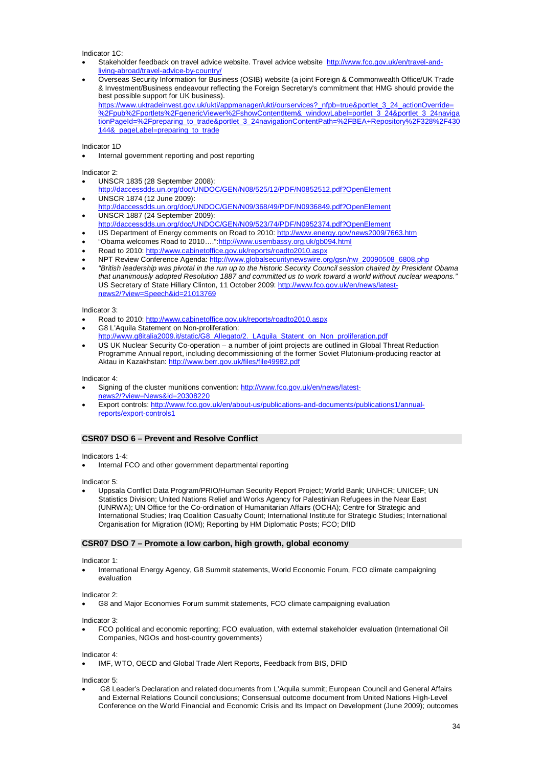Indicator 1C:

- Stakeholder feedback on travel advice website. Travel advice website http://www.fco.gov.uk/en/travel-andliving-abroad/travel-advice-by-country/
- Overseas Security Information for Business (OSIB) website (a joint Foreign & Commonwealth Office/UK Trade & Investment/Business endeavour reflecting the Foreign Secretary's commitment that HMG should provide the best possible support for UK business). https://www.uktradeinvest.gov.uk/ukti/appmanager/ukti/ourservices?\_nfpb=true&portlet\_3\_24\_actionOverride= %2Fpub%2Fportlets%2FgenericViewer%2FshowContentItem&\_windowLabel=portlet\_3\_24&portlet\_3\_24naviga tionPageId=%2Fpreparing\_to\_trade&portlet\_3\_24navigationContentPath=%2FBEA+Repository%2F328%2F430 144&\_pageLabel=preparing\_to\_trade

Indicator 1D

Internal government reporting and post reporting

Indicator 2:

- UNSCR 1835 (28 September 2008):
- http://daccessdds.un.org/doc/UNDOC/GEN/N08/525/12/PDF/N0852512.pdf?OpenElement UNSCR 1874 (12 June 2009):
- http://daccessdds.un.org/doc/UNDOC/GEN/N09/368/49/PDF/N0936849.pdf?OpenElement UNSCR 1887 (24 September 2009):
- http://daccessdds.un.org/doc/UNDOC/GEN/N09/523/74/PDF/N0952374.pdf?OpenElement
- US Department of Energy comments on Road to 2010: http://www.energy.gov/news2009/7663.htm
- "Obama welcomes Road to 2010....": http://www.usembassy.org.uk/gb094.html
- Road to 2010: http://www.cabinetoffice.gov.uk/reports/roadto2010.aspx
- NPT Review Conference Agenda: http://www.globalsecuritynewswire.org/gsn/nw\_20090508\_6808.php
- *"British leadership was pivotal in the run up to the historic Security Council session chaired by President Obama that unanimously adopted Resolution 1887 and committed us to work toward a world without nuclear weapons."* US Secretary of State Hillary Clinton, 11 October 2009: http://www.fco.gov.uk/en/news/latestnews2/?view=Speech&id=21013769

Indicator 3:

- Road to 2010: http://www.cabinetoffice.gov.uk/reports/roadto2010.aspx
- G8 L'Aquila Statement on Non-proliferation:
- http://www.g8italia2009.it/static/G8\_Allegato/2.\_LAquila\_Statent\_on\_Non\_proliferation.pdf
- US UK Nuclear Security Co-operation a number of joint projects are outlined in Global Threat Reduction Programme Annual report, including decommissioning of the former Soviet Plutonium-producing reactor at Aktau in Kazakhstan: http://www.berr.gov.uk/files/file49982.pdf

Indicator 4:

- Signing of the cluster munitions convention: http://www.fco.gov.uk/en/news/latestnews2/?view=News&id=20308220
- Export controls: http://www.fco.gov.uk/en/about-us/publications-and-documents/publications1/annualreports/export-controls1

#### **CSR07 DSO 6 – Prevent and Resolve Conflict**

Indicators 1-4:

Internal FCO and other government departmental reporting

Indicator 5:

 Uppsala Conflict Data Program/PRIO/Human Security Report Project; World Bank; UNHCR; UNICEF; UN Statistics Division; United Nations Relief and Works Agency for Palestinian Refugees in the Near East (UNRWA); UN Office for the Co-ordination of Humanitarian Affairs (OCHA); Centre for Strategic and International Studies; Iraq Coalition Casualty Count; International Institute for Strategic Studies; International Organisation for Migration (IOM); Reporting by HM Diplomatic Posts; FCO; DfID

#### **CSR07 DSO 7 – Promote a low carbon, high growth, global economy**

Indicator 1:

 International Energy Agency, G8 Summit statements, World Economic Forum, FCO climate campaigning evaluation

Indicator 2:

G8 and Major Economies Forum summit statements, FCO climate campaigning evaluation

Indicator 3:

 FCO political and economic reporting; FCO evaluation, with external stakeholder evaluation (International Oil Companies, NGOs and host-country governments)

Indicator 4:

IMF, WTO, OECD and Global Trade Alert Reports, Feedback from BIS, DFID

Indicator 5:

 G8 Leader's Declaration and related documents from L'Aquila summit; European Council and General Affairs and External Relations Council conclusions; Consensual outcome document from United Nations High-Level Conference on the World Financial and Economic Crisis and Its Impact on Development (June 2009); outcomes